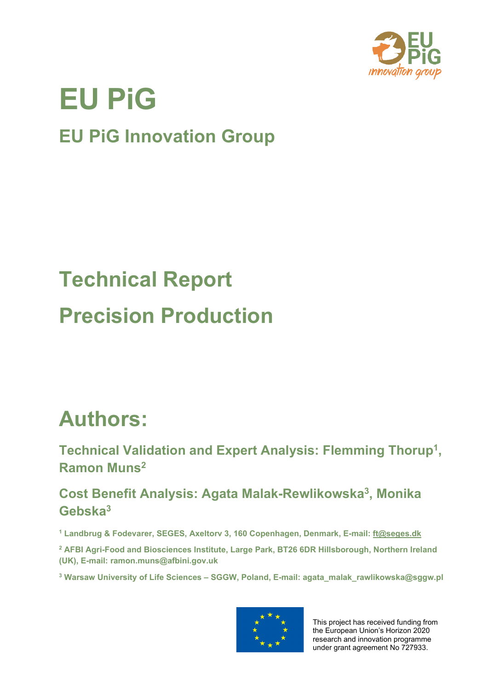

# **EU PiG**

**EU PiG Innovation Group**

# **Technical Report Precision Production**

### **Authors:**

**Technical Validation and Expert Analysis: Flemming Thorup1 , Ramon Muns2**

**Cost Benefit Analysis: Agata Malak-Rewlikowska3, Monika Gebska3**

**<sup>1</sup> Landbrug & Fodevarer, SEGES, Axeltorv 3, 160 Copenhagen, Denmark, E-mail: [ft@seges.dk](mailto:ft@seges.dk)**

**<sup>2</sup> AFBI Agri-Food and Biosciences Institute, Large Park, BT26 6DR Hillsborough, Northern Ireland (UK), E-mail: ramon.muns@afbini.gov.uk**

**<sup>3</sup> Warsaw University of Life Sciences – SGGW, Poland, E-mail: agata\_malak\_rawlikowska@sggw.pl**



This project has received funding from the European Union's Horizon 2020 research and innovation programme under grant agreement No 727933.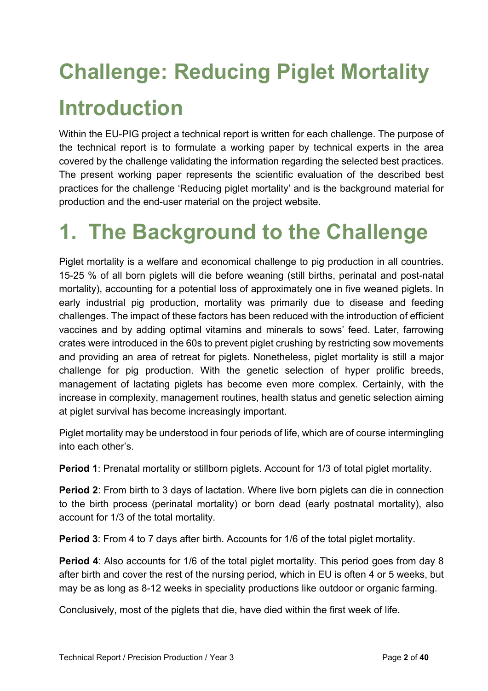# **Challenge: Reducing Piglet Mortality Introduction**

Within the EU-PIG project a technical report is written for each challenge. The purpose of the technical report is to formulate a working paper by technical experts in the area covered by the challenge validating the information regarding the selected best practices. The present working paper represents the scientific evaluation of the described best practices for the challenge 'Reducing piglet mortality' and is the background material for production and the end-user material on the project website.

## **1. The Background to the Challenge**

Piglet mortality is a welfare and economical challenge to pig production in all countries. 15-25 % of all born piglets will die before weaning (still births, perinatal and post-natal mortality), accounting for a potential loss of approximately one in five weaned piglets. In early industrial pig production, mortality was primarily due to disease and feeding challenges. The impact of these factors has been reduced with the introduction of efficient vaccines and by adding optimal vitamins and minerals to sows' feed. Later, farrowing crates were introduced in the 60s to prevent piglet crushing by restricting sow movements and providing an area of retreat for piglets. Nonetheless, piglet mortality is still a major challenge for pig production. With the genetic selection of hyper prolific breeds, management of lactating piglets has become even more complex. Certainly, with the increase in complexity, management routines, health status and genetic selection aiming at piglet survival has become increasingly important.

Piglet mortality may be understood in four periods of life, which are of course intermingling into each other's.

**Period 1**: Prenatal mortality or stillborn piglets. Account for 1/3 of total piglet mortality.

**Period 2**: From birth to 3 days of lactation. Where live born piglets can die in connection to the birth process (perinatal mortality) or born dead (early postnatal mortality), also account for 1/3 of the total mortality.

**Period 3**: From 4 to 7 days after birth. Accounts for 1/6 of the total piglet mortality.

**Period 4:** Also accounts for 1/6 of the total piglet mortality. This period goes from day 8 after birth and cover the rest of the nursing period, which in EU is often 4 or 5 weeks, but may be as long as 8-12 weeks in speciality productions like outdoor or organic farming.

Conclusively, most of the piglets that die, have died within the first week of life.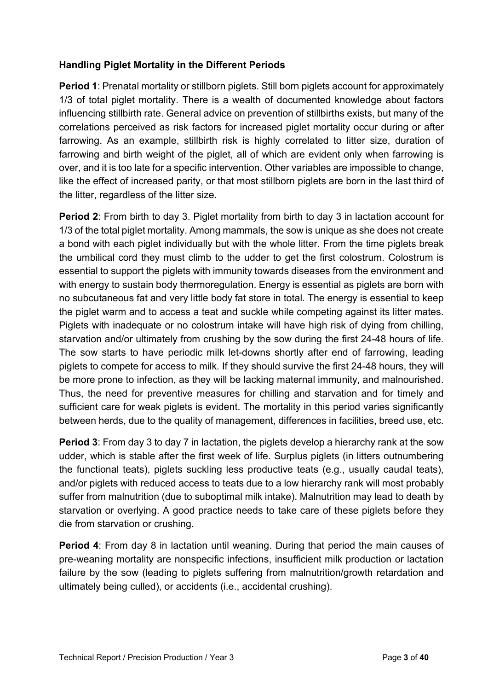#### **Handling Piglet Mortality in the Different Periods**

**Period 1**: Prenatal mortality or stillborn piglets. Still born piglets account for approximately 1/3 of total piglet mortality. There is a wealth of documented knowledge about factors influencing stillbirth rate. General advice on prevention of stillbirths exists, but many of the correlations perceived as risk factors for increased piglet mortality occur during or after farrowing. As an example, stillbirth risk is highly correlated to litter size, duration of farrowing and birth weight of the piglet, all of which are evident only when farrowing is over, and it is too late for a specific intervention. Other variables are impossible to change, like the effect of increased parity, or that most stillborn piglets are born in the last third of the litter, regardless of the litter size.

**Period 2**: From birth to day 3. Piglet mortality from birth to day 3 in lactation account for 1/3 of the total piglet mortality. Among mammals, the sow is unique as she does not create a bond with each piglet individually but with the whole litter. From the time piglets break the umbilical cord they must climb to the udder to get the first colostrum. Colostrum is essential to support the piglets with immunity towards diseases from the environment and with energy to sustain body thermoregulation. Energy is essential as piglets are born with no subcutaneous fat and very little body fat store in total. The energy is essential to keep the piglet warm and to access a teat and suckle while competing against its litter mates. Piglets with inadequate or no colostrum intake will have high risk of dying from chilling, starvation and/or ultimately from crushing by the sow during the first 24-48 hours of life. The sow starts to have periodic milk let-downs shortly after end of farrowing, leading piglets to compete for access to milk. If they should survive the first 24-48 hours, they will be more prone to infection, as they will be lacking maternal immunity, and malnourished. Thus, the need for preventive measures for chilling and starvation and for timely and sufficient care for weak piglets is evident. The mortality in this period varies significantly between herds, due to the quality of management, differences in facilities, breed use, etc.

**Period 3**: From day 3 to day 7 in lactation, the piglets develop a hierarchy rank at the sow udder, which is stable after the first week of life. Surplus piglets (in litters outnumbering the functional teats), piglets suckling less productive teats (e.g., usually caudal teats), and/or piglets with reduced access to teats due to a low hierarchy rank will most probably suffer from malnutrition (due to suboptimal milk intake). Malnutrition may lead to death by starvation or overlying. A good practice needs to take care of these piglets before they die from starvation or crushing.

**Period 4**: From day 8 in lactation until weaning. During that period the main causes of pre-weaning mortality are nonspecific infections, insufficient milk production or lactation failure by the sow (leading to piglets suffering from malnutrition/growth retardation and ultimately being culled), or accidents (i.e., accidental crushing).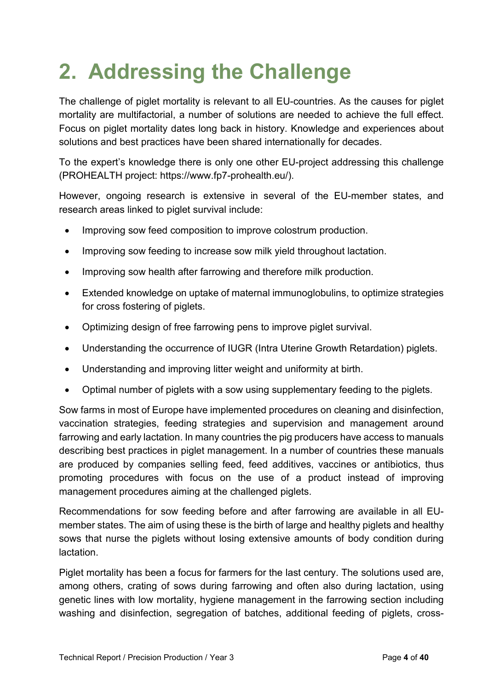## **2. Addressing the Challenge**

The challenge of piglet mortality is relevant to all EU-countries. As the causes for piglet mortality are multifactorial, a number of solutions are needed to achieve the full effect. Focus on piglet mortality dates long back in history. Knowledge and experiences about solutions and best practices have been shared internationally for decades.

To the expert's knowledge there is only one other EU-project addressing this challenge (PROHEALTH project: https://www.fp7-prohealth.eu/).

However, ongoing research is extensive in several of the EU-member states, and research areas linked to piglet survival include:

- Improving sow feed composition to improve colostrum production.
- Improving sow feeding to increase sow milk yield throughout lactation.
- Improving sow health after farrowing and therefore milk production.
- Extended knowledge on uptake of maternal immunoglobulins, to optimize strategies for cross fostering of piglets.
- Optimizing design of free farrowing pens to improve piglet survival.
- Understanding the occurrence of IUGR (Intra Uterine Growth Retardation) piglets.
- Understanding and improving litter weight and uniformity at birth.
- Optimal number of piglets with a sow using supplementary feeding to the piglets.

Sow farms in most of Europe have implemented procedures on cleaning and disinfection, vaccination strategies, feeding strategies and supervision and management around farrowing and early lactation. In many countries the pig producers have access to manuals describing best practices in piglet management. In a number of countries these manuals are produced by companies selling feed, feed additives, vaccines or antibiotics, thus promoting procedures with focus on the use of a product instead of improving management procedures aiming at the challenged piglets.

Recommendations for sow feeding before and after farrowing are available in all EUmember states. The aim of using these is the birth of large and healthy piglets and healthy sows that nurse the piglets without losing extensive amounts of body condition during lactation.

Piglet mortality has been a focus for farmers for the last century. The solutions used are, among others, crating of sows during farrowing and often also during lactation, using genetic lines with low mortality, hygiene management in the farrowing section including washing and disinfection, segregation of batches, additional feeding of piglets, cross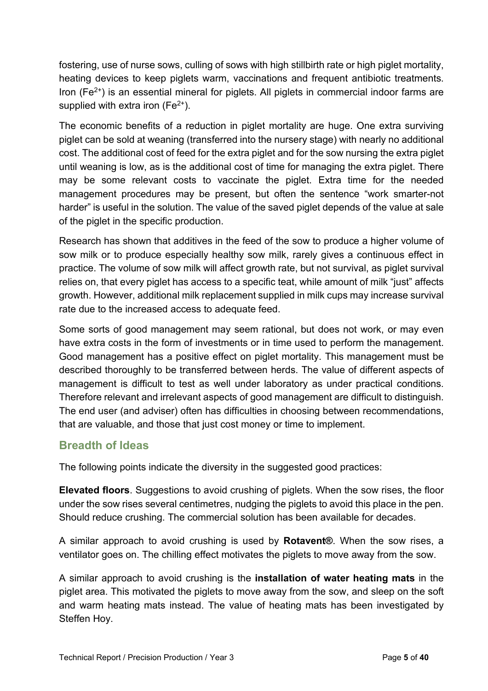fostering, use of nurse sows, culling of sows with high stillbirth rate or high piglet mortality, heating devices to keep piglets warm, vaccinations and frequent antibiotic treatments. Iron ( $Fe<sup>2+</sup>$ ) is an essential mineral for piglets. All piglets in commercial indoor farms are supplied with extra iron  $(Fe<sup>2+</sup>)$ .

The economic benefits of a reduction in piglet mortality are huge. One extra surviving piglet can be sold at weaning (transferred into the nursery stage) with nearly no additional cost. The additional cost of feed for the extra piglet and for the sow nursing the extra piglet until weaning is low, as is the additional cost of time for managing the extra piglet. There may be some relevant costs to vaccinate the piglet. Extra time for the needed management procedures may be present, but often the sentence "work smarter-not harder" is useful in the solution. The value of the saved piglet depends of the value at sale of the piglet in the specific production.

Research has shown that additives in the feed of the sow to produce a higher volume of sow milk or to produce especially healthy sow milk, rarely gives a continuous effect in practice. The volume of sow milk will affect growth rate, but not survival, as piglet survival relies on, that every piglet has access to a specific teat, while amount of milk "just" affects growth. However, additional milk replacement supplied in milk cups may increase survival rate due to the increased access to adequate feed.

Some sorts of good management may seem rational, but does not work, or may even have extra costs in the form of investments or in time used to perform the management. Good management has a positive effect on piglet mortality. This management must be described thoroughly to be transferred between herds. The value of different aspects of management is difficult to test as well under laboratory as under practical conditions. Therefore relevant and irrelevant aspects of good management are difficult to distinguish. The end user (and adviser) often has difficulties in choosing between recommendations, that are valuable, and those that just cost money or time to implement.

#### **Breadth of Ideas**

The following points indicate the diversity in the suggested good practices:

**Elevated floors**. Suggestions to avoid crushing of piglets. When the sow rises, the floor under the sow rises several centimetres, nudging the piglets to avoid this place in the pen. Should reduce crushing. The commercial solution has been available for decades.

A similar approach to avoid crushing is used by **Rotavent®**. When the sow rises, a ventilator goes on. The chilling effect motivates the piglets to move away from the sow.

A similar approach to avoid crushing is the **installation of water heating mats** in the piglet area. This motivated the piglets to move away from the sow, and sleep on the soft and warm heating mats instead. The value of heating mats has been investigated by Steffen Hoy.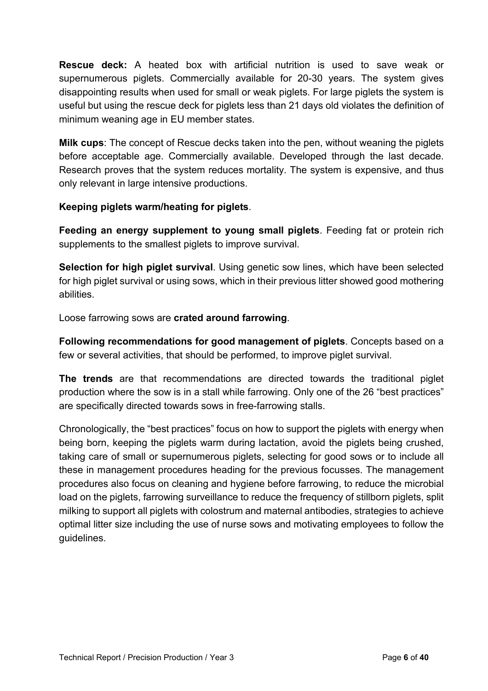**Rescue deck:** A heated box with artificial nutrition is used to save weak or supernumerous piglets. Commercially available for 20-30 years. The system gives disappointing results when used for small or weak piglets. For large piglets the system is useful but using the rescue deck for piglets less than 21 days old violates the definition of minimum weaning age in EU member states.

**Milk cups**: The concept of Rescue decks taken into the pen, without weaning the piglets before acceptable age. Commercially available. Developed through the last decade. Research proves that the system reduces mortality. The system is expensive, and thus only relevant in large intensive productions.

#### **Keeping piglets warm/heating for piglets**.

**Feeding an energy supplement to young small piglets**. Feeding fat or protein rich supplements to the smallest piglets to improve survival.

**Selection for high piglet survival**. Using genetic sow lines, which have been selected for high piglet survival or using sows, which in their previous litter showed good mothering abilities.

Loose farrowing sows are **crated around farrowing**.

**Following recommendations for good management of piglets**. Concepts based on a few or several activities, that should be performed, to improve piglet survival.

**The trends** are that recommendations are directed towards the traditional piglet production where the sow is in a stall while farrowing. Only one of the 26 "best practices" are specifically directed towards sows in free-farrowing stalls.

Chronologically, the "best practices" focus on how to support the piglets with energy when being born, keeping the piglets warm during lactation, avoid the piglets being crushed, taking care of small or supernumerous piglets, selecting for good sows or to include all these in management procedures heading for the previous focusses. The management procedures also focus on cleaning and hygiene before farrowing, to reduce the microbial load on the piglets, farrowing surveillance to reduce the frequency of stillborn piglets, split milking to support all piglets with colostrum and maternal antibodies, strategies to achieve optimal litter size including the use of nurse sows and motivating employees to follow the guidelines.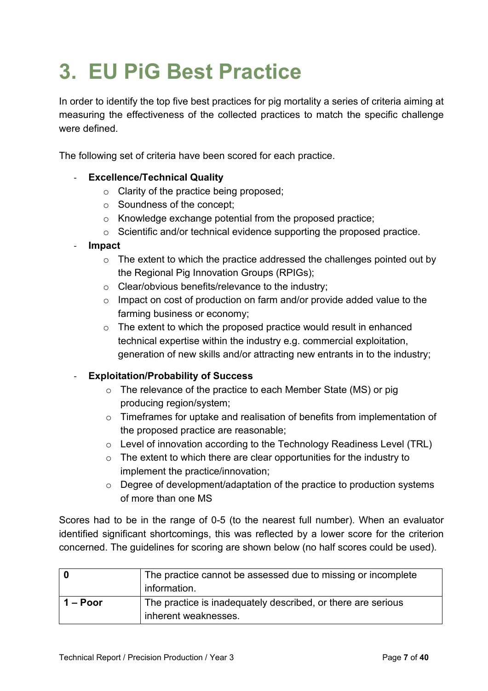## **3. EU PiG Best Practice**

In order to identify the top five best practices for pig mortality a series of criteria aiming at measuring the effectiveness of the collected practices to match the specific challenge were defined.

The following set of criteria have been scored for each practice.

#### - **Excellence/Technical Quality**

- o Clarity of the practice being proposed;
- o Soundness of the concept;
- o Knowledge exchange potential from the proposed practice;
- o Scientific and/or technical evidence supporting the proposed practice.

#### - **Impact**

- o The extent to which the practice addressed the challenges pointed out by the Regional Pig Innovation Groups (RPIGs);
- o Clear/obvious benefits/relevance to the industry;
- $\circ$  Impact on cost of production on farm and/or provide added value to the farming business or economy;
- o The extent to which the proposed practice would result in enhanced technical expertise within the industry e.g. commercial exploitation, generation of new skills and/or attracting new entrants in to the industry;

#### - **Exploitation/Probability of Success**

- $\circ$  The relevance of the practice to each Member State (MS) or pig producing region/system;
- o Timeframes for uptake and realisation of benefits from implementation of the proposed practice are reasonable;
- o Level of innovation according to the Technology Readiness Level (TRL)
- o The extent to which there are clear opportunities for the industry to implement the practice/innovation;
- o Degree of development/adaptation of the practice to production systems of more than one MS

Scores had to be in the range of 0-5 (to the nearest full number). When an evaluator identified significant shortcomings, this was reflected by a lower score for the criterion concerned. The guidelines for scoring are shown below (no half scores could be used).

|            | The practice cannot be assessed due to missing or incomplete |
|------------|--------------------------------------------------------------|
|            | information.                                                 |
| $1 -$ Poor | The practice is inadequately described, or there are serious |
|            | inherent weaknesses.                                         |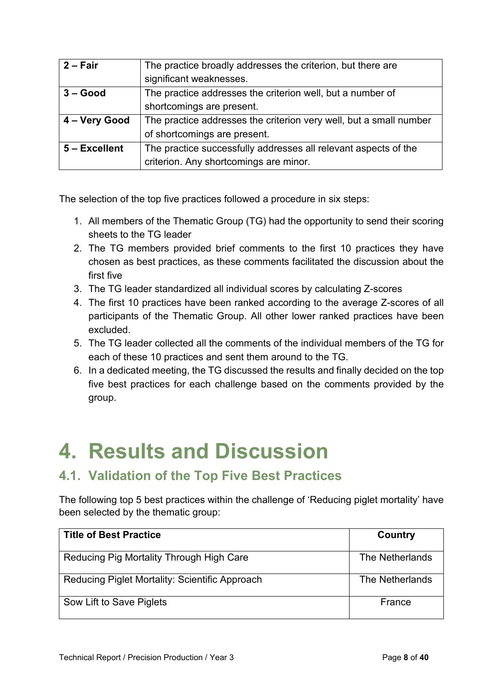| $2 - Fair$    | The practice broadly addresses the criterion, but there are        |
|---------------|--------------------------------------------------------------------|
|               | significant weaknesses.                                            |
| $3 - Good$    | The practice addresses the criterion well, but a number of         |
|               | shortcomings are present.                                          |
| 4 - Very Good | The practice addresses the criterion very well, but a small number |
|               | of shortcomings are present.                                       |
| 5 - Excellent | The practice successfully addresses all relevant aspects of the    |
|               | criterion. Any shortcomings are minor.                             |

The selection of the top five practices followed a procedure in six steps:

- 1. All members of the Thematic Group (TG) had the opportunity to send their scoring sheets to the TG leader
- 2. The TG members provided brief comments to the first 10 practices they have chosen as best practices, as these comments facilitated the discussion about the first five
- 3. The TG leader standardized all individual scores by calculating Z-scores
- 4. The first 10 practices have been ranked according to the average Z-scores of all participants of the Thematic Group. All other lower ranked practices have been excluded.
- 5. The TG leader collected all the comments of the individual members of the TG for each of these 10 practices and sent them around to the TG.
- 6. In a dedicated meeting, the TG discussed the results and finally decided on the top five best practices for each challenge based on the comments provided by the group.

### **4. Results and Discussion**

### **4.1. Validation of the Top Five Best Practices**

The following top 5 best practices within the challenge of 'Reducing piglet mortality' have been selected by the thematic group:

| <b>Title of Best Practice</b>                  | Country         |
|------------------------------------------------|-----------------|
| Reducing Pig Mortality Through High Care       | The Netherlands |
| Reducing Piglet Mortality: Scientific Approach | The Netherlands |
| Sow Lift to Save Piglets                       | France          |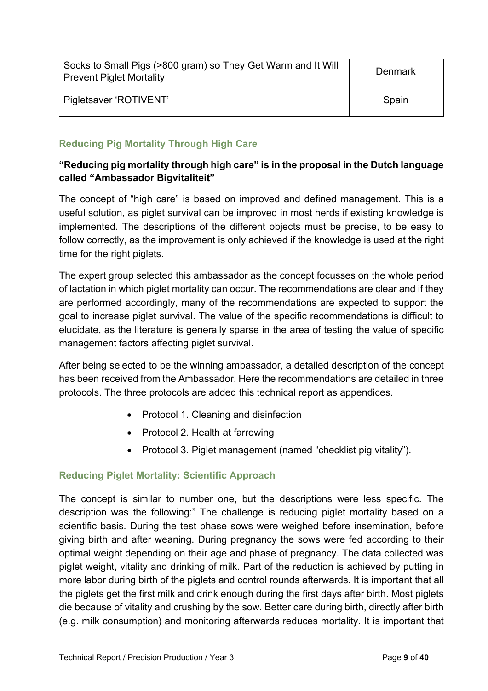| Socks to Small Pigs (>800 gram) so They Get Warm and It Will<br><b>Prevent Piglet Mortality</b> | Denmark |
|-------------------------------------------------------------------------------------------------|---------|
| Pigletsaver 'ROTIVENT'                                                                          | Spain   |

#### **Reducing Pig Mortality Through High Care**

#### **"Reducing pig mortality through high care" is in the proposal in the Dutch language called "Ambassador Bigvitaliteit"**

The concept of "high care" is based on improved and defined management. This is a useful solution, as piglet survival can be improved in most herds if existing knowledge is implemented. The descriptions of the different objects must be precise, to be easy to follow correctly, as the improvement is only achieved if the knowledge is used at the right time for the right piglets.

The expert group selected this ambassador as the concept focusses on the whole period of lactation in which piglet mortality can occur. The recommendations are clear and if they are performed accordingly, many of the recommendations are expected to support the goal to increase piglet survival. The value of the specific recommendations is difficult to elucidate, as the literature is generally sparse in the area of testing the value of specific management factors affecting piglet survival.

After being selected to be the winning ambassador, a detailed description of the concept has been received from the Ambassador. Here the recommendations are detailed in three protocols. The three protocols are added this technical report as appendices.

- Protocol 1. Cleaning and disinfection
- Protocol 2. Health at farrowing
- Protocol 3. Piglet management (named "checklist pig vitality").

#### **Reducing Piglet Mortality: Scientific Approach**

The concept is similar to number one, but the descriptions were less specific. The description was the following:" The challenge is reducing piglet mortality based on a scientific basis. During the test phase sows were weighed before insemination, before giving birth and after weaning. During pregnancy the sows were fed according to their optimal weight depending on their age and phase of pregnancy. The data collected was piglet weight, vitality and drinking of milk. Part of the reduction is achieved by putting in more labor during birth of the piglets and control rounds afterwards. It is important that all the piglets get the first milk and drink enough during the first days after birth. Most piglets die because of vitality and crushing by the sow. Better care during birth, directly after birth (e.g. milk consumption) and monitoring afterwards reduces mortality. It is important that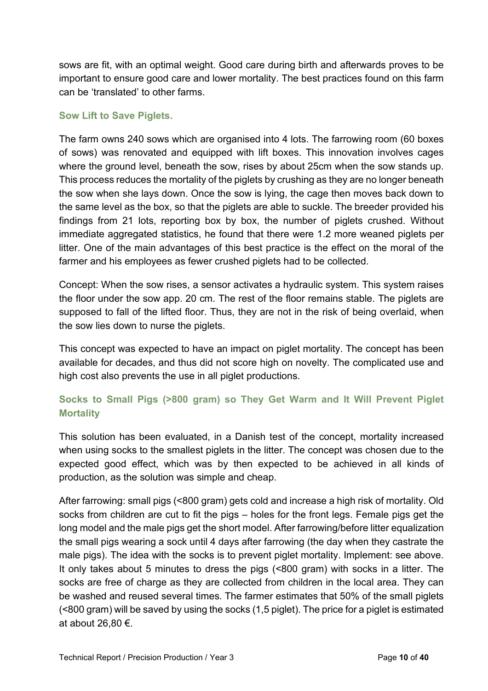sows are fit, with an optimal weight. Good care during birth and afterwards proves to be important to ensure good care and lower mortality. The best practices found on this farm can be 'translated' to other farms.

#### **Sow Lift to Save Piglets.**

The farm owns 240 sows which are organised into 4 lots. The farrowing room (60 boxes of sows) was renovated and equipped with lift boxes. This innovation involves cages where the ground level, beneath the sow, rises by about 25cm when the sow stands up. This process reduces the mortality of the piglets by crushing as they are no longer beneath the sow when she lays down. Once the sow is lying, the cage then moves back down to the same level as the box, so that the piglets are able to suckle. The breeder provided his findings from 21 lots, reporting box by box, the number of piglets crushed. Without immediate aggregated statistics, he found that there were 1.2 more weaned piglets per litter. One of the main advantages of this best practice is the effect on the moral of the farmer and his employees as fewer crushed piglets had to be collected.

Concept: When the sow rises, a sensor activates a hydraulic system. This system raises the floor under the sow app. 20 cm. The rest of the floor remains stable. The piglets are supposed to fall of the lifted floor. Thus, they are not in the risk of being overlaid, when the sow lies down to nurse the piglets.

This concept was expected to have an impact on piglet mortality. The concept has been available for decades, and thus did not score high on novelty. The complicated use and high cost also prevents the use in all piglet productions.

#### **Socks to Small Pigs (>800 gram) so They Get Warm and It Will Prevent Piglet Mortality**

This solution has been evaluated, in a Danish test of the concept, mortality increased when using socks to the smallest piglets in the litter. The concept was chosen due to the expected good effect, which was by then expected to be achieved in all kinds of production, as the solution was simple and cheap.

After farrowing: small pigs (<800 gram) gets cold and increase a high risk of mortality. Old socks from children are cut to fit the pigs – holes for the front legs. Female pigs get the long model and the male pigs get the short model. After farrowing/before litter equalization the small pigs wearing a sock until 4 days after farrowing (the day when they castrate the male pigs). The idea with the socks is to prevent piglet mortality. Implement: see above. It only takes about 5 minutes to dress the pigs (<800 gram) with socks in a litter. The socks are free of charge as they are collected from children in the local area. They can be washed and reused several times. The farmer estimates that 50% of the small piglets (<800 gram) will be saved by using the socks (1,5 piglet). The price for a piglet is estimated at about 26,80 €.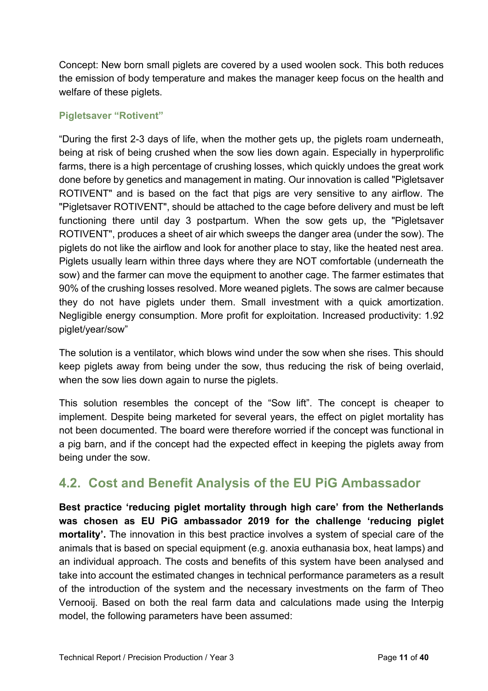Concept: New born small piglets are covered by a used woolen sock. This both reduces the emission of body temperature and makes the manager keep focus on the health and welfare of these piglets.

#### **Pigletsaver "Rotivent"**

"During the first 2-3 days of life, when the mother gets up, the piglets roam underneath, being at risk of being crushed when the sow lies down again. Especially in hyperprolific farms, there is a high percentage of crushing losses, which quickly undoes the great work done before by genetics and management in mating. Our innovation is called "Pigletsaver ROTIVENT" and is based on the fact that pigs are very sensitive to any airflow. The "Pigletsaver ROTIVENT", should be attached to the cage before delivery and must be left functioning there until day 3 postpartum. When the sow gets up, the "Pigletsaver ROTIVENT", produces a sheet of air which sweeps the danger area (under the sow). The piglets do not like the airflow and look for another place to stay, like the heated nest area. Piglets usually learn within three days where they are NOT comfortable (underneath the sow) and the farmer can move the equipment to another cage. The farmer estimates that 90% of the crushing losses resolved. More weaned piglets. The sows are calmer because they do not have piglets under them. Small investment with a quick amortization. Negligible energy consumption. More profit for exploitation. Increased productivity: 1.92 piglet/year/sow"

The solution is a ventilator, which blows wind under the sow when she rises. This should keep piglets away from being under the sow, thus reducing the risk of being overlaid, when the sow lies down again to nurse the piglets.

This solution resembles the concept of the "Sow lift". The concept is cheaper to implement. Despite being marketed for several years, the effect on piglet mortality has not been documented. The board were therefore worried if the concept was functional in a pig barn, and if the concept had the expected effect in keeping the piglets away from being under the sow.

### **4.2. Cost and Benefit Analysis of the EU PiG Ambassador**

**Best practice 'reducing piglet mortality through high care' from the Netherlands was chosen as EU PiG ambassador 2019 for the challenge 'reducing piglet mortality'.** The innovation in this best practice involves a system of special care of the animals that is based on special equipment (e.g. anoxia euthanasia box, heat lamps) and an individual approach. The costs and benefits of this system have been analysed and take into account the estimated changes in technical performance parameters as a result of the introduction of the system and the necessary investments on the farm of Theo Vernooij. Based on both the real farm data and calculations made using the Interpig model, the following parameters have been assumed: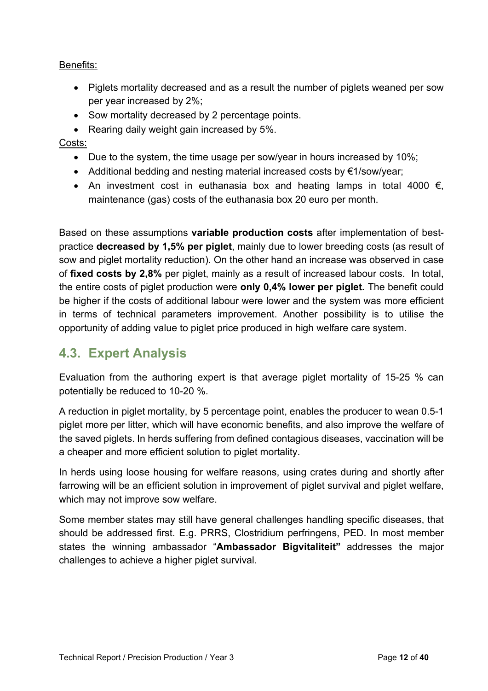#### Benefits:

- Piglets mortality decreased and as a result the number of piglets weaned per sow per year increased by 2%;
- Sow mortality decreased by 2 percentage points.
- Rearing daily weight gain increased by 5%.

#### Costs:

- Due to the system, the time usage per sow/year in hours increased by 10%;
- Additional bedding and nesting material increased costs by €1/sow/year;
- An investment cost in euthanasia box and heating lamps in total 4000  $\epsilon$ , maintenance (gas) costs of the euthanasia box 20 euro per month.

Based on these assumptions **variable production costs** after implementation of bestpractice **decreased by 1,5% per piglet**, mainly due to lower breeding costs (as result of sow and piglet mortality reduction). On the other hand an increase was observed in case of **fixed costs by 2,8%** per piglet, mainly as a result of increased labour costs. In total, the entire costs of piglet production were **only 0,4% lower per piglet.** The benefit could be higher if the costs of additional labour were lower and the system was more efficient in terms of technical parameters improvement. Another possibility is to utilise the opportunity of adding value to piglet price produced in high welfare care system.

### **4.3. Expert Analysis**

Evaluation from the authoring expert is that average piglet mortality of 15-25 % can potentially be reduced to 10-20 %.

A reduction in piglet mortality, by 5 percentage point, enables the producer to wean 0.5-1 piglet more per litter, which will have economic benefits, and also improve the welfare of the saved piglets. In herds suffering from defined contagious diseases, vaccination will be a cheaper and more efficient solution to piglet mortality.

In herds using loose housing for welfare reasons, using crates during and shortly after farrowing will be an efficient solution in improvement of piglet survival and piglet welfare, which may not improve sow welfare.

Some member states may still have general challenges handling specific diseases, that should be addressed first. E.g. PRRS, Clostridium perfringens, PED. In most member states the winning ambassador "**Ambassador Bigvitaliteit"** addresses the major challenges to achieve a higher piglet survival.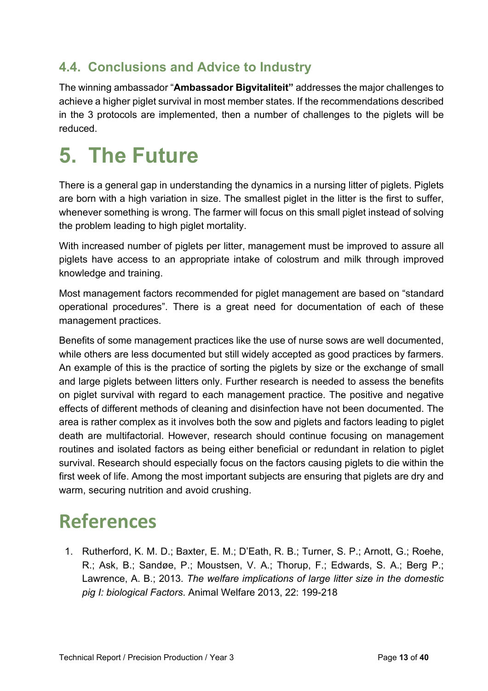### **4.4. Conclusions and Advice to Industry**

The winning ambassador "**Ambassador Bigvitaliteit"** addresses the major challenges to achieve a higher piglet survival in most member states. If the recommendations described in the 3 protocols are implemented, then a number of challenges to the piglets will be reduced.

### **5. The Future**

There is a general gap in understanding the dynamics in a nursing litter of piglets. Piglets are born with a high variation in size. The smallest piglet in the litter is the first to suffer, whenever something is wrong. The farmer will focus on this small piglet instead of solving the problem leading to high piglet mortality.

With increased number of piglets per litter, management must be improved to assure all piglets have access to an appropriate intake of colostrum and milk through improved knowledge and training.

Most management factors recommended for piglet management are based on "standard operational procedures". There is a great need for documentation of each of these management practices.

Benefits of some management practices like the use of nurse sows are well documented, while others are less documented but still widely accepted as good practices by farmers. An example of this is the practice of sorting the piglets by size or the exchange of small and large piglets between litters only. Further research is needed to assess the benefits on piglet survival with regard to each management practice. The positive and negative effects of different methods of cleaning and disinfection have not been documented. The area is rather complex as it involves both the sow and piglets and factors leading to piglet death are multifactorial. However, research should continue focusing on management routines and isolated factors as being either beneficial or redundant in relation to piglet survival. Research should especially focus on the factors causing piglets to die within the first week of life. Among the most important subjects are ensuring that piglets are dry and warm, securing nutrition and avoid crushing.

### **References**

1. Rutherford, K. M. D.; Baxter, E. M.; D'Eath, R. B.; Turner, S. P.; Arnott, G.; Roehe, R.; Ask, B.; Sandøe, P.; Moustsen, V. A.; Thorup, F.; Edwards, S. A.; Berg P.; Lawrence, A. B.; 2013. *The welfare implications of large litter size in the domestic pig I: biological Factors*. Animal Welfare 2013, 22: 199-218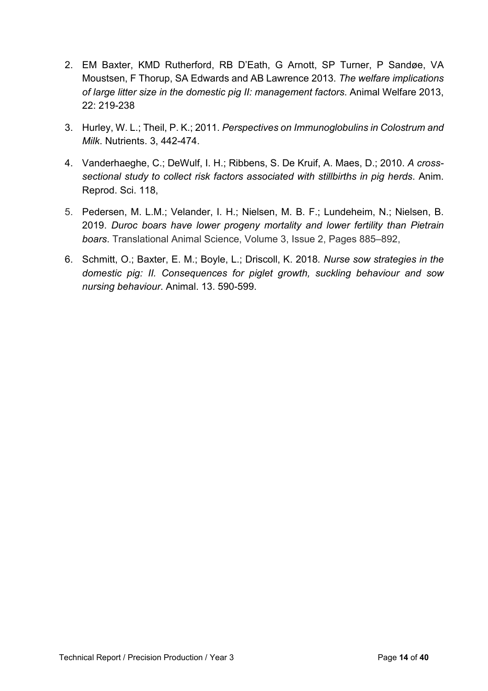- 2. EM Baxter, KMD Rutherford, RB D'Eath, G Arnott, SP Turner, P Sandøe, VA Moustsen, F Thorup, SA Edwards and AB Lawrence 2013. *The welfare implications of large litter size in the domestic pig II: management factors*. Animal Welfare 2013, 22: 219-238
- 3. Hurley, W. L.; Theil, P. K.; 2011. *Perspectives on Immunoglobulins in Colostrum and Milk*. Nutrients. 3, 442-474.
- 4. Vanderhaeghe, C.; DeWulf, I. H.; Ribbens, S. De Kruif, A. Maes, D.; 2010. *A crosssectional study to collect risk factors associated with stillbirths in pig herds*. Anim. Reprod. Sci. 118,
- 5. Pedersen, M. L.M.; Velander, I. H.; Nielsen, M. B. F.; Lundeheim, N.; Nielsen, B. 2019. *Duroc boars have lower progeny mortality and lower fertility than Pietrain boars*. Translational Animal Science, Volume 3, Issue 2, Pages 885–892,
- 6. Schmitt, O.; Baxter, E. M.; Boyle, L.; Driscoll, K. 2018*. Nurse sow strategies in the domestic pig: II. Consequences for piglet growth, suckling behaviour and sow nursing behaviour*. Animal. 13. 590-599.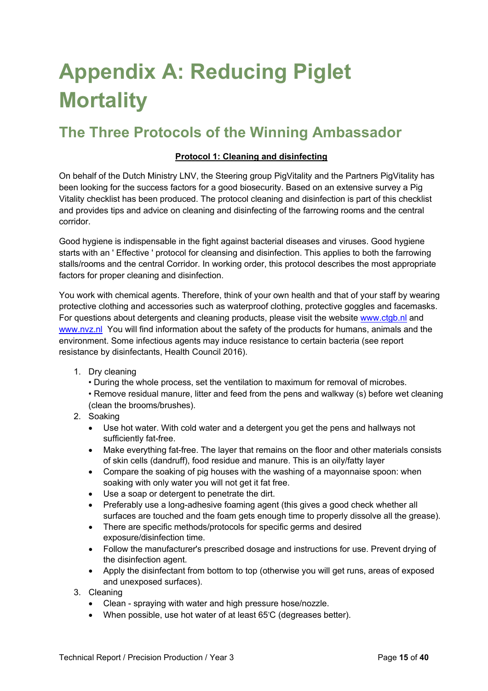## **Appendix A: Reducing Piglet Mortality**

### **The Three Protocols of the Winning Ambassador**

#### **Protocol 1: Cleaning and disinfecting**

On behalf of the Dutch Ministry LNV, the Steering group PigVitality and the Partners PigVitality has been looking for the success factors for a good biosecurity. Based on an extensive survey a Pig Vitality checklist has been produced. The protocol cleaning and disinfection is part of this checklist and provides tips and advice on cleaning and disinfecting of the farrowing rooms and the central corridor.

Good hygiene is indispensable in the fight against bacterial diseases and viruses. Good hygiene starts with an ' Effective ' protocol for cleansing and disinfection. This applies to both the farrowing stalls/rooms and the central Corridor. In working order, this protocol describes the most appropriate factors for proper cleaning and disinfection.

You work with chemical agents. Therefore, think of your own health and that of your staff by wearing protective clothing and accessories such as waterproof clothing, protective goggles and facemasks. For questions about detergents and cleaning products, please visit the website www.ctqb.nl and [www.nvz.nl](http://www.nvz.nl/) You will find information about the safety of the products for humans, animals and the environment. Some infectious agents may induce resistance to certain bacteria (see report resistance by disinfectants, Health Council 2016).

- 1. Dry cleaning
	- During the whole process, set the ventilation to maximum for removal of microbes.
	- Remove residual manure, litter and feed from the pens and walkway (s) before wet cleaning (clean the brooms/brushes).
- 2. Soaking
	- Use hot water. With cold water and a detergent you get the pens and hallways not sufficiently fat-free.
	- Make everything fat-free. The layer that remains on the floor and other materials consists of skin cells (dandruff), food residue and manure. This is an oily/fatty layer
	- Compare the soaking of pig houses with the washing of a mayonnaise spoon: when soaking with only water you will not get it fat free.
	- Use a soap or detergent to penetrate the dirt.
	- Preferably use a long-adhesive foaming agent (this gives a good check whether all surfaces are touched and the foam gets enough time to properly dissolve all the grease).
	- There are specific methods/protocols for specific germs and desired exposure/disinfection time.
	- Follow the manufacturer's prescribed dosage and instructions for use. Prevent drying of the disinfection agent.
	- Apply the disinfectant from bottom to top (otherwise you will get runs, areas of exposed and unexposed surfaces).
- 3. Cleaning
	- Clean spraying with water and high pressure hose/nozzle.
	- When possible, use hot water of at least 65°C (degreases better).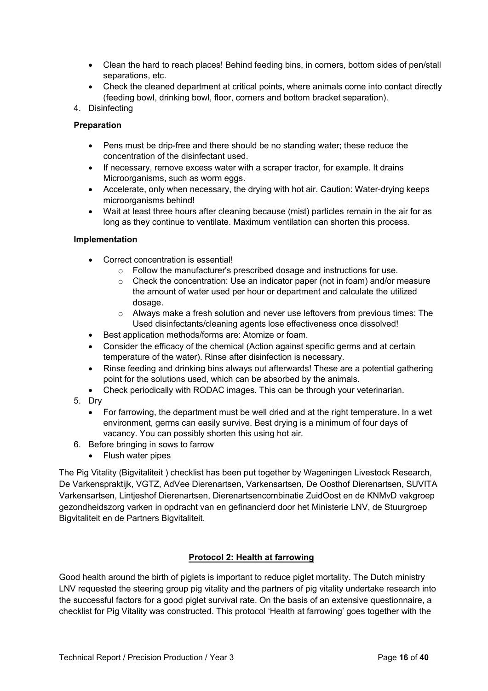- Clean the hard to reach places! Behind feeding bins, in corners, bottom sides of pen/stall separations, etc.
- Check the cleaned department at critical points, where animals come into contact directly (feeding bowl, drinking bowl, floor, corners and bottom bracket separation).

#### 4. Disinfecting

#### **Preparation**

- Pens must be drip-free and there should be no standing water; these reduce the concentration of the disinfectant used.
- If necessary, remove excess water with a scraper tractor, for example. It drains Microorganisms, such as worm eggs.
- Accelerate, only when necessary, the drying with hot air. Caution: Water-drying keeps microorganisms behind!
- Wait at least three hours after cleaning because (mist) particles remain in the air for as long as they continue to ventilate. Maximum ventilation can shorten this process.

#### **Implementation**

- Correct concentration is essential!
	- o Follow the manufacturer's prescribed dosage and instructions for use.
	- $\circ$  Check the concentration: Use an indicator paper (not in foam) and/or measure the amount of water used per hour or department and calculate the utilized dosage.
	- $\circ$  Always make a fresh solution and never use leftovers from previous times: The Used disinfectants/cleaning agents lose effectiveness once dissolved!
- Best application methods/forms are: Atomize or foam.
- Consider the efficacy of the chemical (Action against specific germs and at certain temperature of the water). Rinse after disinfection is necessary.
- Rinse feeding and drinking bins always out afterwards! These are a potential gathering point for the solutions used, which can be absorbed by the animals.
- Check periodically with RODAC images. This can be through your veterinarian.
- 5. Dry
	- For farrowing, the department must be well dried and at the right temperature. In a wet environment, germs can easily survive. Best drying is a minimum of four days of vacancy. You can possibly shorten this using hot air.
- 6. Before bringing in sows to farrow
	- Flush water pipes

The Pig Vitality (Bigvitaliteit ) checklist has been put together by Wageningen Livestock Research, De Varkenspraktijk, VGTZ, AdVee Dierenartsen, Varkensartsen, De Oosthof Dierenartsen, SUVITA Varkensartsen, Lintjeshof Dierenartsen, Dierenartsencombinatie ZuidOost en de KNMvD vakgroep gezondheidszorg varken in opdracht van en gefinancierd door het Ministerie LNV, de Stuurgroep Bigvitaliteit en de Partners Bigvitaliteit.

#### **Protocol 2: Health at farrowing**

Good health around the birth of piglets is important to reduce piglet mortality. The Dutch ministry LNV requested the steering group pig vitality and the partners of pig vitality undertake research into the successful factors for a good piglet survival rate. On the basis of an extensive questionnaire, a checklist for Pig Vitality was constructed. This protocol 'Health at farrowing' goes together with the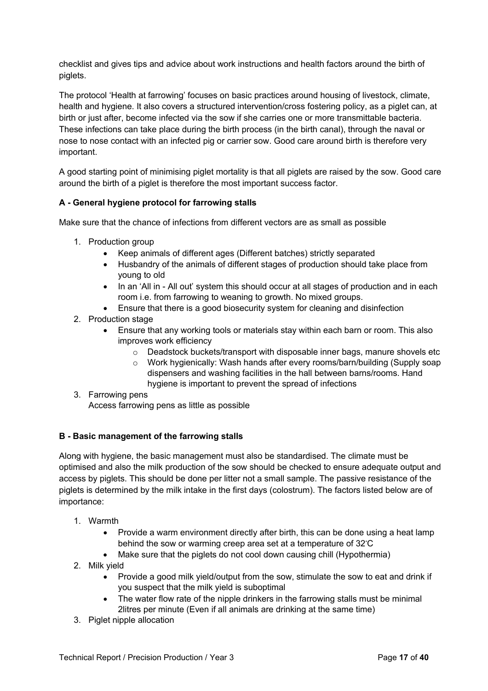checklist and gives tips and advice about work instructions and health factors around the birth of piglets.

The protocol 'Health at farrowing' focuses on basic practices around housing of livestock, climate, health and hygiene. It also covers a structured intervention/cross fostering policy, as a piglet can, at birth or just after, become infected via the sow if she carries one or more transmittable bacteria. These infections can take place during the birth process (in the birth canal), through the naval or nose to nose contact with an infected pig or carrier sow. Good care around birth is therefore very important.

A good starting point of minimising piglet mortality is that all piglets are raised by the sow. Good care around the birth of a piglet is therefore the most important success factor.

#### **A - General hygiene protocol for farrowing stalls**

Make sure that the chance of infections from different vectors are as small as possible

- 1. Production group
	- Keep animals of different ages (Different batches) strictly separated
	- Husbandry of the animals of different stages of production should take place from young to old
	- In an 'All in All out' system this should occur at all stages of production and in each room i.e. from farrowing to weaning to growth. No mixed groups.
	- Ensure that there is a good biosecurity system for cleaning and disinfection
- 2. Production stage
	- Ensure that any working tools or materials stay within each barn or room. This also improves work efficiency
		- $\circ$  Deadstock buckets/transport with disposable inner bags, manure shovels etc
		- o Work hygienically: Wash hands after every rooms/barn/building (Supply soap dispensers and washing facilities in the hall between barns/rooms. Hand hygiene is important to prevent the spread of infections
- 3. Farrowing pens Access farrowing pens as little as possible

#### **B - Basic management of the farrowing stalls**

Along with hygiene, the basic management must also be standardised. The climate must be optimised and also the milk production of the sow should be checked to ensure adequate output and access by piglets. This should be done per litter not a small sample. The passive resistance of the piglets is determined by the milk intake in the first days (colostrum). The factors listed below are of importance:

- 1. Warmth
	- Provide a warm environment directly after birth, this can be done using a heat lamp behind the sow or warming creep area set at a temperature of 32°C
	- Make sure that the piglets do not cool down causing chill (Hypothermia)
- 2. Milk yield
	- Provide a good milk yield/output from the sow, stimulate the sow to eat and drink if you suspect that the milk yield is suboptimal
	- The water flow rate of the nipple drinkers in the farrowing stalls must be minimal 2litres per minute (Even if all animals are drinking at the same time)
- 3. Piglet nipple allocation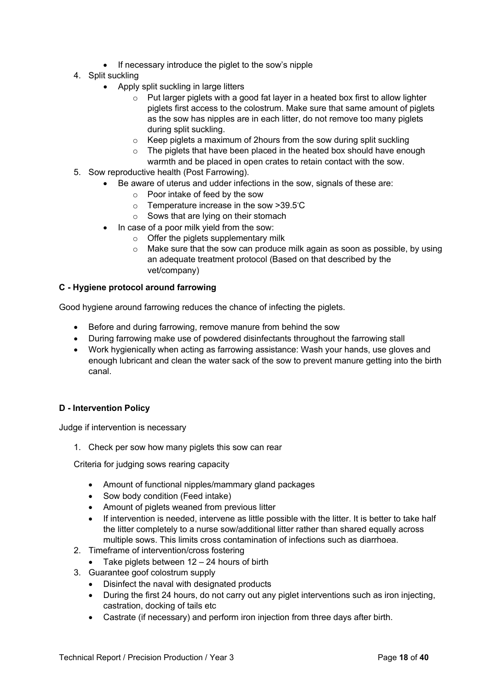- If necessary introduce the piglet to the sow's nipple
- 4. Split suckling
	- Apply split suckling in large litters
		- $\circ$  Put larger piglets with a good fat layer in a heated box first to allow lighter piglets first access to the colostrum. Make sure that same amount of piglets as the sow has nipples are in each litter, do not remove too many piglets during split suckling.
		- $\circ$  Keep piglets a maximum of 2hours from the sow during split suckling
		- o The piglets that have been placed in the heated box should have enough warmth and be placed in open crates to retain contact with the sow.
- 5. Sow reproductive health (Post Farrowing).
	- Be aware of uterus and udder infections in the sow, signals of these are:
		- o Poor intake of feed by the sow
		- $\circ$  Temperature increase in the sow >39.5°C
		- o Sows that are lying on their stomach
		- In case of a poor milk yield from the sow:
			- $\circ$  Offer the piglets supplementary milk
			- o Make sure that the sow can produce milk again as soon as possible, by using an adequate treatment protocol (Based on that described by the vet/company)

#### **C - Hygiene protocol around farrowing**

Good hygiene around farrowing reduces the chance of infecting the piglets.

- Before and during farrowing, remove manure from behind the sow
- During farrowing make use of powdered disinfectants throughout the farrowing stall
- Work hygienically when acting as farrowing assistance: Wash your hands, use gloves and enough lubricant and clean the water sack of the sow to prevent manure getting into the birth canal.

#### **D - Intervention Policy**

Judge if intervention is necessary

1. Check per sow how many piglets this sow can rear

Criteria for judging sows rearing capacity

- Amount of functional nipples/mammary gland packages
- Sow body condition (Feed intake)
- Amount of piglets weaned from previous litter
- If intervention is needed, intervene as little possible with the litter. It is better to take half the litter completely to a nurse sow/additional litter rather than shared equally across multiple sows. This limits cross contamination of infections such as diarrhoea.
- 2. Timeframe of intervention/cross fostering
	- Take piglets between  $12 24$  hours of birth
- 3. Guarantee goof colostrum supply
	- Disinfect the naval with designated products
	- During the first 24 hours, do not carry out any piglet interventions such as iron injecting, castration, docking of tails etc
	- Castrate (if necessary) and perform iron injection from three days after birth.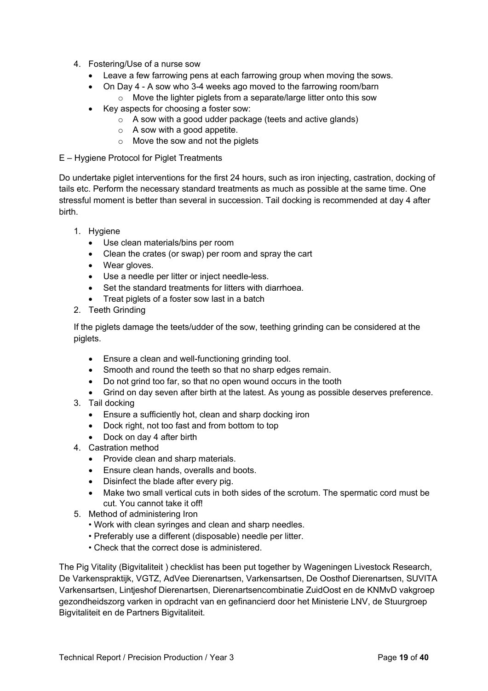- 4. Fostering/Use of a nurse sow
	- Leave a few farrowing pens at each farrowing group when moving the sows.
	- On Day 4 A sow who 3-4 weeks ago moved to the farrowing room/barn  $\circ$  Move the lighter piglets from a separate/large litter onto this sow
	- Key aspects for choosing a foster sow:
		- o A sow with a good udder package (teets and active glands)
		- o A sow with a good appetite.
		- $\circ$  Move the sow and not the piglets
- E Hygiene Protocol for Piglet Treatments

Do undertake piglet interventions for the first 24 hours, such as iron injecting, castration, docking of tails etc. Perform the necessary standard treatments as much as possible at the same time. One stressful moment is better than several in succession. Tail docking is recommended at day 4 after birth.

- 1. Hygiene
	- Use clean materials/bins per room
	- Clean the crates (or swap) per room and spray the cart
	- Wear gloves.
	- Use a needle per litter or inject needle-less.
	- Set the standard treatments for litters with diarrhoea.
	- Treat piglets of a foster sow last in a batch
- 2. Teeth Grinding

If the piglets damage the teets/udder of the sow, teething grinding can be considered at the piglets.

- Ensure a clean and well-functioning grinding tool.
- Smooth and round the teeth so that no sharp edges remain.
- Do not grind too far, so that no open wound occurs in the tooth
- Grind on day seven after birth at the latest. As young as possible deserves preference.
- 3. Tail docking
	- Ensure a sufficiently hot, clean and sharp docking iron
	- Dock right, not too fast and from bottom to top
	- Dock on day 4 after birth
- 4. Castration method
	- Provide clean and sharp materials.
	- Ensure clean hands, overalls and boots.
	- Disinfect the blade after every pig.
	- Make two small vertical cuts in both sides of the scrotum. The spermatic cord must be cut. You cannot take it off!
- 5. Method of administering Iron
	- Work with clean syringes and clean and sharp needles.
	- Preferably use a different (disposable) needle per litter.
	- Check that the correct dose is administered.

The Pig Vitality (Bigvitaliteit ) checklist has been put together by Wageningen Livestock Research, De Varkenspraktijk, VGTZ, AdVee Dierenartsen, Varkensartsen, De Oosthof Dierenartsen, SUVITA Varkensartsen, Lintjeshof Dierenartsen, Dierenartsencombinatie ZuidOost en de KNMvD vakgroep gezondheidszorg varken in opdracht van en gefinancierd door het Ministerie LNV, de Stuurgroep Bigvitaliteit en de Partners Bigvitaliteit.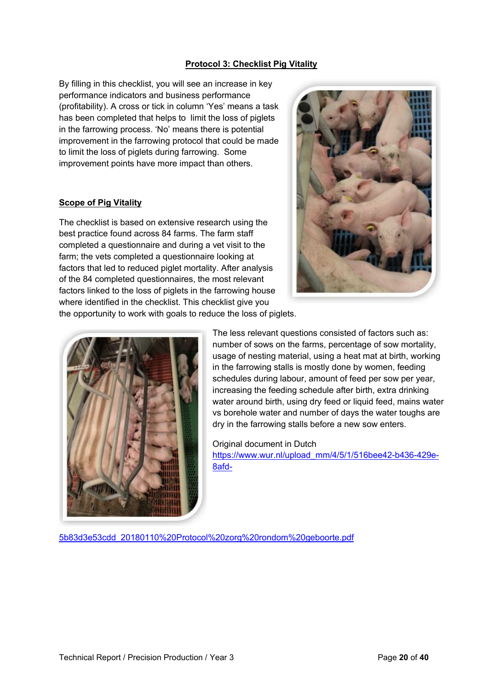#### **Protocol 3: Checklist Pig Vitality**

By filling in this checklist, you will see an increase in key performance indicators and business performance (profitability). A cross or tick in column 'Yes' means a task has been completed that helps to limit the loss of piglets in the farrowing process. 'No' means there is potential improvement in the farrowing protocol that could be made to limit the loss of piglets during farrowing. Some improvement points have more impact than others.

#### **Scope of Pig Vitality**

The checklist is based on extensive research using the best practice found across 84 farms. The farm staff completed a questionnaire and during a vet visit to the farm; the vets completed a questionnaire looking at factors that led to reduced piglet mortality. After analysis of the 84 completed questionnaires, the most relevant factors linked to the loss of piglets in the farrowing house where identified in the checklist. This checklist give you the opportunity to work with goals to reduce the loss of piglets.





The less relevant questions consisted of factors such as: number of sows on the farms, percentage of sow mortality, usage of nesting material, using a heat mat at birth, working in the farrowing stalls is mostly done by women, feeding schedules during labour, amount of feed per sow per year, increasing the feeding schedule after birth, extra drinking water around birth, using dry feed or liquid feed, mains water vs borehole water and number of days the water toughs are dry in the farrowing stalls before a new sow enters.

#### Original document in Dutch

[https://www.wur.nl/upload\\_mm/4/5/1/516bee42-b436-429e-](https://www.wur.nl/upload_mm/4/5/1/516bee42-b436-429e-8afd-5b83d3e53cdd_20180110%20Protocol%20zorg%20rondom%20geboorte.pdf)[8afd-](https://www.wur.nl/upload_mm/4/5/1/516bee42-b436-429e-8afd-5b83d3e53cdd_20180110%20Protocol%20zorg%20rondom%20geboorte.pdf)

[5b83d3e53cdd\\_20180110%20Protocol%20zorg%20rondom%20geboorte.pdf](https://www.wur.nl/upload_mm/4/5/1/516bee42-b436-429e-8afd-5b83d3e53cdd_20180110%20Protocol%20zorg%20rondom%20geboorte.pdf)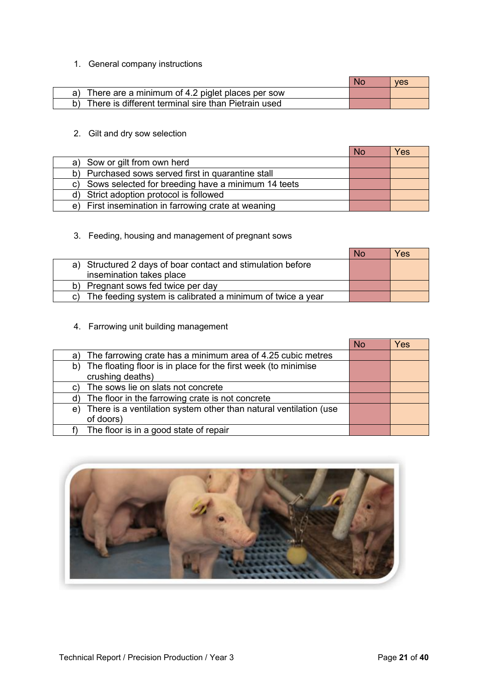#### 1. General company instructions

|                                                     | ves |
|-----------------------------------------------------|-----|
| There are a minimum of 4.2 piglet places per sow    |     |
| There is different terminal sire than Pietrain used |     |

#### 2. Gilt and dry sow selection

|                                                          | <b>No</b> | Yes |
|----------------------------------------------------------|-----------|-----|
| a) Sow or gilt from own herd                             |           |     |
| b) Purchased sows served first in quarantine stall       |           |     |
| Sows selected for breeding have a minimum 14 teets<br>C) |           |     |
| d) Strict adoption protocol is followed                  |           |     |
| e) First insemination in farrowing crate at weaning      |           |     |

#### 3. Feeding, housing and management of pregnant sows

|                                                                  | <b>No</b> | Yes |
|------------------------------------------------------------------|-----------|-----|
| a) Structured 2 days of boar contact and stimulation before      |           |     |
| insemination takes place                                         |           |     |
| b) Pregnant sows fed twice per day                               |           |     |
| The feeding system is calibrated a minimum of twice a year<br>C) |           |     |

4. Farrowing unit building management

|                                                                         | <b>No</b> | Yes |
|-------------------------------------------------------------------------|-----------|-----|
| The farrowing crate has a minimum area of 4.25 cubic metres<br>a)       |           |     |
| The floating floor is in place for the first week (to minimise<br>b)    |           |     |
| crushing deaths)                                                        |           |     |
| The sows lie on slats not concrete                                      |           |     |
| The floor in the farrowing crate is not concrete<br>d)                  |           |     |
| There is a ventilation system other than natural ventilation (use<br>e) |           |     |
| of doors)                                                               |           |     |
| The floor is in a good state of repair                                  |           |     |

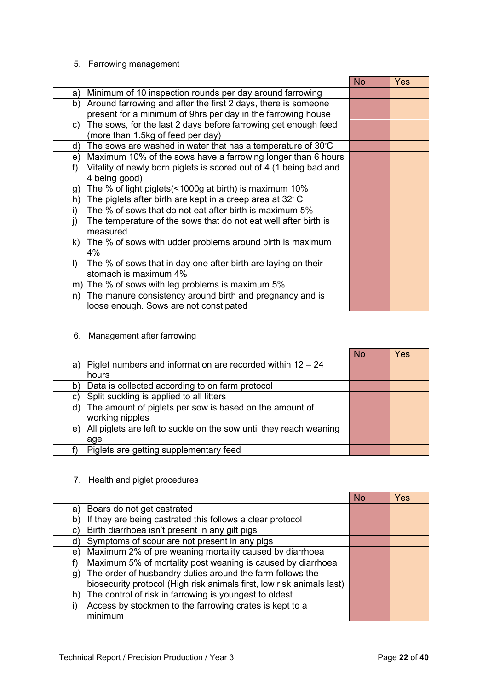#### 5. Farrowing management

|                                                                          | <b>No</b> | Yes |
|--------------------------------------------------------------------------|-----------|-----|
| Minimum of 10 inspection rounds per day around farrowing<br>a)           |           |     |
| Around farrowing and after the first 2 days, there is someone<br>b)      |           |     |
| present for a minimum of 9hrs per day in the farrowing house             |           |     |
| The sows, for the last 2 days before farrowing get enough feed<br>C)     |           |     |
| (more than 1.5kg of feed per day)                                        |           |     |
| The sows are washed in water that has a temperature of 30°C<br>d)        |           |     |
| Maximum 10% of the sows have a farrowing longer than 6 hours<br>e)       |           |     |
| Vitality of newly born piglets is scored out of 4 (1 being bad and<br>f) |           |     |
| 4 being good)                                                            |           |     |
| The % of light piglets (<1000g at birth) is maximum 10%<br>g)            |           |     |
| The piglets after birth are kept in a creep area at 32° C<br>h)          |           |     |
| The % of sows that do not eat after birth is maximum 5%                  |           |     |
| The temperature of the sows that do not eat well after birth is          |           |     |
| measured                                                                 |           |     |
| The % of sows with udder problems around birth is maximum<br>k).         |           |     |
| 4%                                                                       |           |     |
| The % of sows that in day one after birth are laying on their<br>I)      |           |     |
| stomach is maximum 4%                                                    |           |     |
| The % of sows with leg problems is maximum 5%<br>m)                      |           |     |
| The manure consistency around birth and pregnancy and is<br>n)           |           |     |
| loose enough. Sows are not constipated                                   |           |     |

6. Management after farrowing

|                                                                          | <b>No</b> | Yes |
|--------------------------------------------------------------------------|-----------|-----|
| Piglet numbers and information are recorded within $12 - 24$<br>a)       |           |     |
| hours                                                                    |           |     |
| Data is collected according to on farm protocol<br>b)                    |           |     |
| Split suckling is applied to all litters<br>C)                           |           |     |
| d) The amount of piglets per sow is based on the amount of               |           |     |
| working nipples                                                          |           |     |
| All piglets are left to suckle on the sow until they reach weaning<br>e) |           |     |
| age                                                                      |           |     |
| Piglets are getting supplementary feed                                   |           |     |

7. Health and piglet procedures

|                                                                       | No | Yes |
|-----------------------------------------------------------------------|----|-----|
| Boars do not get castrated<br>a)                                      |    |     |
| If they are being castrated this follows a clear protocol<br>b)       |    |     |
| Birth diarrhoea isn't present in any gilt pigs<br>C)                  |    |     |
| Symptoms of scour are not present in any pigs<br>d)                   |    |     |
| Maximum 2% of pre weaning mortality caused by diarrhoea<br>e)         |    |     |
| Maximum 5% of mortality post weaning is caused by diarrhoea           |    |     |
| The order of husbandry duties around the farm follows the<br>g)       |    |     |
| biosecurity protocol (High risk animals first, low risk animals last) |    |     |
| The control of risk in farrowing is youngest to oldest<br>h)          |    |     |
| Access by stockmen to the farrowing crates is kept to a               |    |     |
| minimum                                                               |    |     |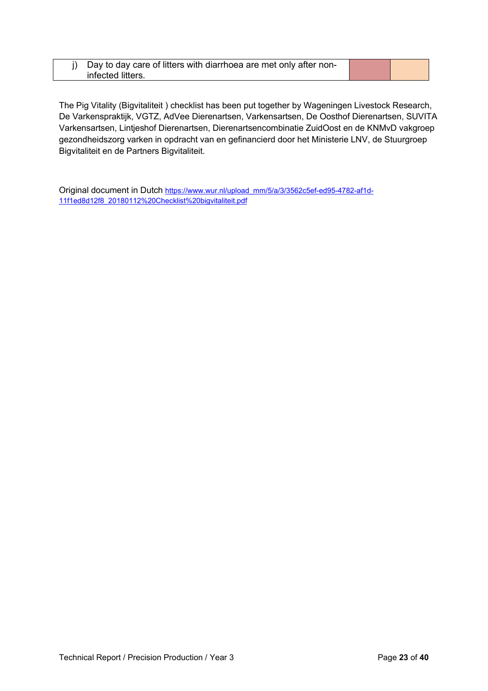#### j) Day to day care of litters with diarrhoea are met only after noninfected litters.

The Pig Vitality (Bigvitaliteit ) checklist has been put together by Wageningen Livestock Research, De Varkenspraktijk, VGTZ, AdVee Dierenartsen, Varkensartsen, De Oosthof Dierenartsen, SUVITA Varkensartsen, Lintjeshof Dierenartsen, Dierenartsencombinatie ZuidOost en de KNMvD vakgroep gezondheidszorg varken in opdracht van en gefinancierd door het Ministerie LNV, de Stuurgroep Bigvitaliteit en de Partners Bigvitaliteit.

Original document in Dutch [https://www.wur.nl/upload\\_mm/5/a/3/3562c5ef-ed95-4782-af1d-](https://eur02.safelinks.protection.outlook.com/?url=https%3A%2F%2Fwww.wur.nl%2Fupload_mm%2F5%2Fa%2F3%2F3562c5ef-ed95-4782-af1d-11f1ed8d12f8_20180112%2520Checklist%2520bigvitaliteit.pdf&data=02%7C01%7CBen.Williams%40ahdb.org.uk%7Cf2e1a6d043c44791f76a08d714f0aeac%7Ca12ce54b3d3d434695efff13ca5dd47d%7C1%7C1%7C637000896260792510&sdata=Yh4RS5Hy6PHTbSR7MHwiVtP1bUCbZ0hckbeHdwEJOow%3D&reserved=0)[11f1ed8d12f8\\_20180112%20Checklist%20bigvitaliteit.pdf](https://eur02.safelinks.protection.outlook.com/?url=https%3A%2F%2Fwww.wur.nl%2Fupload_mm%2F5%2Fa%2F3%2F3562c5ef-ed95-4782-af1d-11f1ed8d12f8_20180112%2520Checklist%2520bigvitaliteit.pdf&data=02%7C01%7CBen.Williams%40ahdb.org.uk%7Cf2e1a6d043c44791f76a08d714f0aeac%7Ca12ce54b3d3d434695efff13ca5dd47d%7C1%7C1%7C637000896260792510&sdata=Yh4RS5Hy6PHTbSR7MHwiVtP1bUCbZ0hckbeHdwEJOow%3D&reserved=0)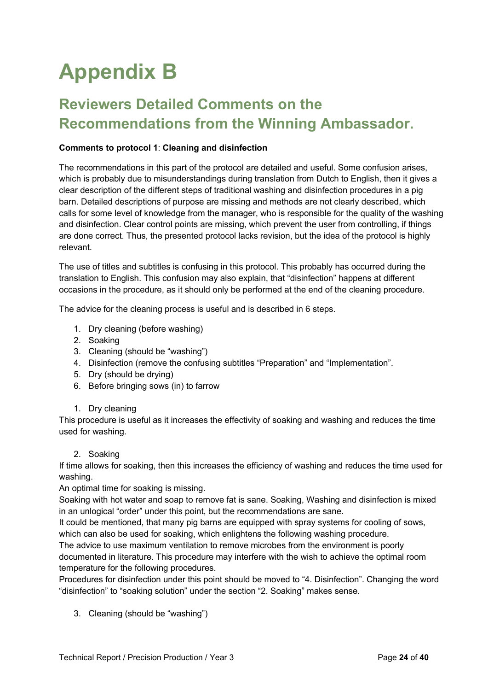## **Appendix B**

### **Reviewers Detailed Comments on the Recommendations from the Winning Ambassador.**

#### **Comments to protocol 1**: **Cleaning and disinfection**

The recommendations in this part of the protocol are detailed and useful. Some confusion arises, which is probably due to misunderstandings during translation from Dutch to English, then it gives a clear description of the different steps of traditional washing and disinfection procedures in a pig barn. Detailed descriptions of purpose are missing and methods are not clearly described, which calls for some level of knowledge from the manager, who is responsible for the quality of the washing and disinfection. Clear control points are missing, which prevent the user from controlling, if things are done correct. Thus, the presented protocol lacks revision, but the idea of the protocol is highly relevant.

The use of titles and subtitles is confusing in this protocol. This probably has occurred during the translation to English. This confusion may also explain, that "disinfection" happens at different occasions in the procedure, as it should only be performed at the end of the cleaning procedure.

The advice for the cleaning process is useful and is described in 6 steps.

- 1. Dry cleaning (before washing)
- 2. Soaking
- 3. Cleaning (should be "washing")
- 4. Disinfection (remove the confusing subtitles "Preparation" and "Implementation".
- 5. Dry (should be drying)
- 6. Before bringing sows (in) to farrow
- 1. Dry cleaning

This procedure is useful as it increases the effectivity of soaking and washing and reduces the time used for washing.

2. Soaking

If time allows for soaking, then this increases the efficiency of washing and reduces the time used for washing.

An optimal time for soaking is missing.

Soaking with hot water and soap to remove fat is sane. Soaking, Washing and disinfection is mixed in an unlogical "order" under this point, but the recommendations are sane.

It could be mentioned, that many pig barns are equipped with spray systems for cooling of sows, which can also be used for soaking, which enlightens the following washing procedure.

The advice to use maximum ventilation to remove microbes from the environment is poorly documented in literature. This procedure may interfere with the wish to achieve the optimal room temperature for the following procedures.

Procedures for disinfection under this point should be moved to "4. Disinfection". Changing the word "disinfection" to "soaking solution" under the section "2. Soaking" makes sense.

3. Cleaning (should be "washing")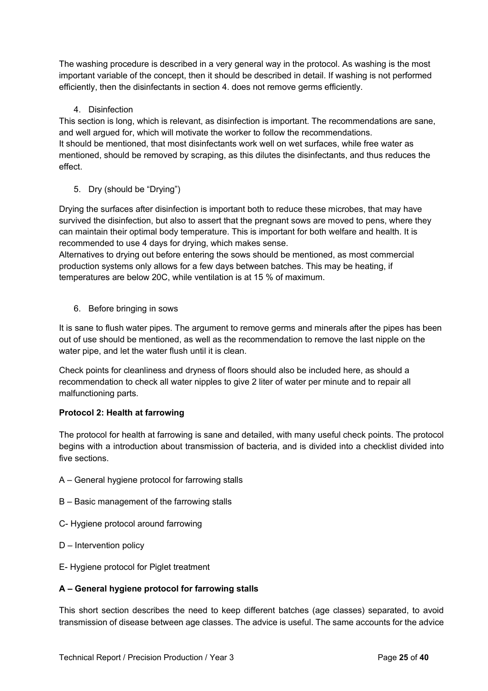The washing procedure is described in a very general way in the protocol. As washing is the most important variable of the concept, then it should be described in detail. If washing is not performed efficiently, then the disinfectants in section 4. does not remove germs efficiently.

#### 4. Disinfection

This section is long, which is relevant, as disinfection is important. The recommendations are sane, and well argued for, which will motivate the worker to follow the recommendations. It should be mentioned, that most disinfectants work well on wet surfaces, while free water as mentioned, should be removed by scraping, as this dilutes the disinfectants, and thus reduces the effect.

5. Dry (should be "Drying")

Drying the surfaces after disinfection is important both to reduce these microbes, that may have survived the disinfection, but also to assert that the pregnant sows are moved to pens, where they can maintain their optimal body temperature. This is important for both welfare and health. It is recommended to use 4 days for drying, which makes sense.

Alternatives to drying out before entering the sows should be mentioned, as most commercial production systems only allows for a few days between batches. This may be heating, if temperatures are below 20C, while ventilation is at 15 % of maximum.

6. Before bringing in sows

It is sane to flush water pipes. The argument to remove germs and minerals after the pipes has been out of use should be mentioned, as well as the recommendation to remove the last nipple on the water pipe, and let the water flush until it is clean.

Check points for cleanliness and dryness of floors should also be included here, as should a recommendation to check all water nipples to give 2 liter of water per minute and to repair all malfunctioning parts.

#### **Protocol 2: Health at farrowing**

The protocol for health at farrowing is sane and detailed, with many useful check points. The protocol begins with a introduction about transmission of bacteria, and is divided into a checklist divided into five sections.

- A General hygiene protocol for farrowing stalls
- B Basic management of the farrowing stalls
- C- Hygiene protocol around farrowing
- D Intervention policy
- E- Hygiene protocol for Piglet treatment

#### **A – General hygiene protocol for farrowing stalls**

This short section describes the need to keep different batches (age classes) separated, to avoid transmission of disease between age classes. The advice is useful. The same accounts for the advice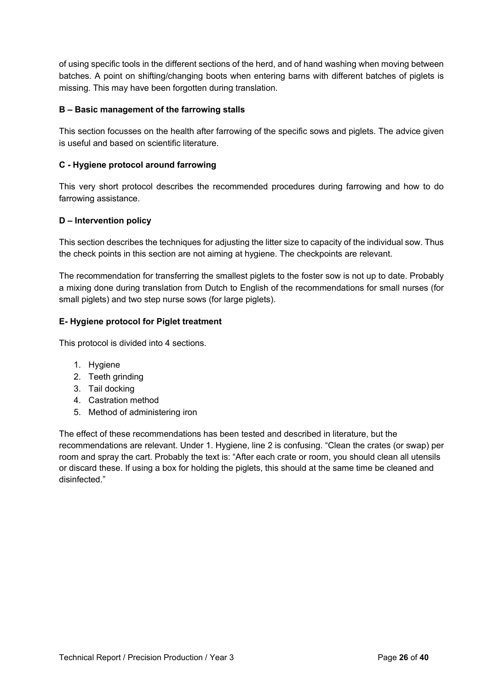of using specific tools in the different sections of the herd, and of hand washing when moving between batches. A point on shifting/changing boots when entering barns with different batches of piglets is missing. This may have been forgotten during translation.

#### **B – Basic management of the farrowing stalls**

This section focusses on the health after farrowing of the specific sows and piglets. The advice given is useful and based on scientific literature.

#### **C - Hygiene protocol around farrowing**

This very short protocol describes the recommended procedures during farrowing and how to do farrowing assistance.

#### **D – Intervention policy**

This section describes the techniques for adjusting the litter size to capacity of the individual sow. Thus the check points in this section are not aiming at hygiene. The checkpoints are relevant.

The recommendation for transferring the smallest piglets to the foster sow is not up to date. Probably a mixing done during translation from Dutch to English of the recommendations for small nurses (for small piglets) and two step nurse sows (for large piglets).

#### **E- Hygiene protocol for Piglet treatment**

This protocol is divided into 4 sections.

- 1. Hygiene
- 2. Teeth grinding
- 3. Tail docking
- 4. Castration method
- 5. Method of administering iron

The effect of these recommendations has been tested and described in literature, but the recommendations are relevant. Under 1. Hygiene, line 2 is confusing. "Clean the crates (or swap) per room and spray the cart. Probably the text is: "After each crate or room, you should clean all utensils or discard these. If using a box for holding the piglets, this should at the same time be cleaned and disinfected."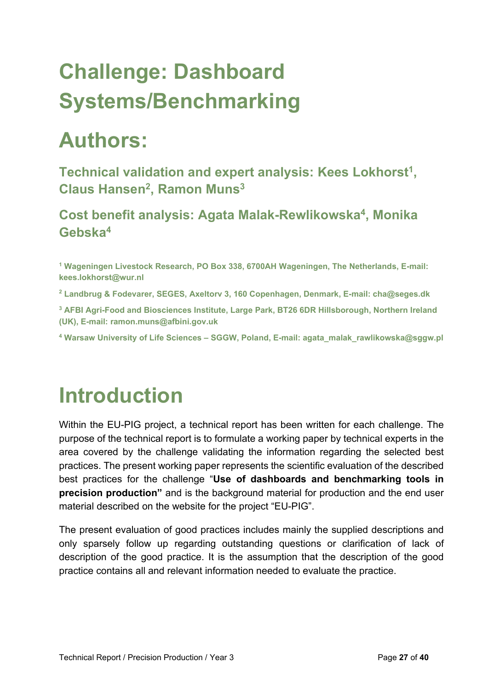## **Challenge: Dashboard Systems/Benchmarking**

## **Authors:**

**Technical validation and expert analysis: Kees Lokhorst1 , Claus Hansen2, Ramon Muns3**

**Cost benefit analysis: Agata Malak-Rewlikowska4, Monika Gebska4**

**<sup>1</sup> Wageningen Livestock Research, PO Box 338, 6700AH Wageningen, The Netherlands, E-mail: kees.lokhorst@wur.nl**

**<sup>2</sup> Landbrug & Fodevarer, SEGES, Axeltorv 3, 160 Copenhagen, Denmark, E-mail: cha@seges.dk**

**<sup>3</sup> AFBI Agri-Food and Biosciences Institute, Large Park, BT26 6DR Hillsborough, Northern Ireland (UK), E-mail: ramon.muns@afbini.gov.uk**

**<sup>4</sup> Warsaw University of Life Sciences – SGGW, Poland, E-mail: agata\_malak\_rawlikowska@sggw.pl**

### **Introduction**

Within the EU-PIG project, a technical report has been written for each challenge. The purpose of the technical report is to formulate a working paper by technical experts in the area covered by the challenge validating the information regarding the selected best practices. The present working paper represents the scientific evaluation of the described best practices for the challenge "**Use of dashboards and benchmarking tools in precision production"** and is the background material for production and the end user material described on the website for the project "EU-PIG".

The present evaluation of good practices includes mainly the supplied descriptions and only sparsely follow up regarding outstanding questions or clarification of lack of description of the good practice. It is the assumption that the description of the good practice contains all and relevant information needed to evaluate the practice.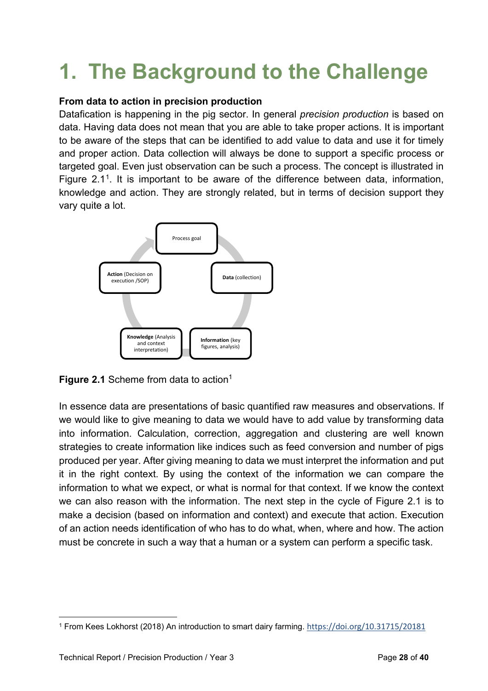## **1. The Background to the Challenge**

#### **From data to action in precision production**

Datafication is happening in the pig sector. In general *precision production* is based on data. Having data does not mean that you are able to take proper actions. It is important to be aware of the steps that can be identified to add value to data and use it for timely and proper action. Data collection will always be done to support a specific process or targeted goal. Even just observation can be such a process. The concept is illustrated in Figure 2.1[1](#page-27-0). It is important to be aware of the difference between data, information, knowledge and action. They are strongly related, but in terms of decision support they vary quite a lot.



**Figure 2.1** Scheme from data to action<sup>1</sup>

In essence data are presentations of basic quantified raw measures and observations. If we would like to give meaning to data we would have to add value by transforming data into information. Calculation, correction, aggregation and clustering are well known strategies to create information like indices such as feed conversion and number of pigs produced per year. After giving meaning to data we must interpret the information and put it in the right context. By using the context of the information we can compare the information to what we expect, or what is normal for that context. If we know the context we can also reason with the information. The next step in the cycle of Figure 2.1 is to make a decision (based on information and context) and execute that action. Execution of an action needs identification of who has to do what, when, where and how. The action must be concrete in such a way that a human or a system can perform a specific task.

<span id="page-27-0"></span><sup>1</sup> From Kees Lokhorst (2018) An introduction to smart dairy farming. <https://doi.org/10.31715/20181>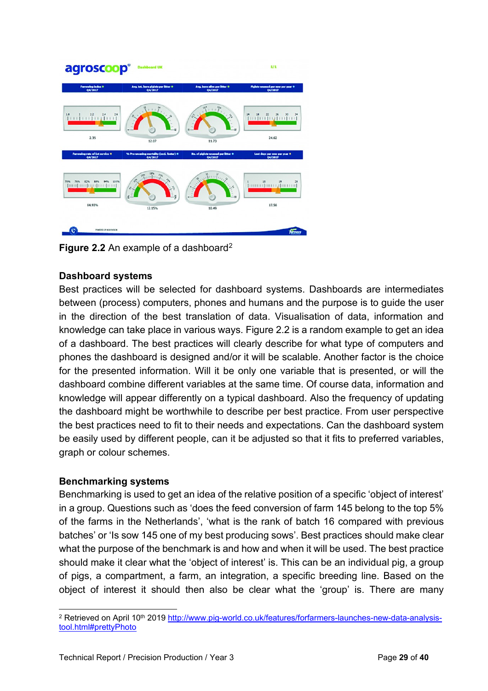| agroscoop®                                 | <b>Dashboard UK</b>                                 |                                                                        | 1/1                                                    |
|--------------------------------------------|-----------------------------------------------------|------------------------------------------------------------------------|--------------------------------------------------------|
| Farrowing Index 0<br>04/2017               | Avg. tot. born piglets per litter @<br>04/2017      | Avg. born allve per litter 0<br>04/2017                                | Figlets weared per sow per year @<br>04/2017           |
| $\mathbf{L}$<br>26<br>φ<br>2.35            | 12.07                                               | $\mathfrak{g}^{\mathfrak{g}}$<br>$\frac{a_s}{l}$<br>1.1<br>i.<br>11.73 | 24<br>א מא אימי עו<br> ווו ווו עוד ווו <br>34<br>24.62 |
| Farrowing rate of Let service *<br>04/2017 | % Pre-wearing mertality (excl. foster) @<br>04/2017 | No. of piglets weaped per litter @<br>04/2017                          | Lost days per som per year 0<br>04/2017                |
| 70%<br>111%<br>numbuntum t                 | <b>Company</b><br>o <sup>n</sup><br>¢               | $\overline{\text{mhe}}$<br>۵<br>≒ಡ                                     | 11<br>28<br>19<br>17.56                                |
| 84.93%                                     | 12.15%                                              | 10.49                                                                  |                                                        |

**Figure [2](#page-28-0).2** An example of a dashboard<sup>2</sup>

#### **Dashboard systems**

Best practices will be selected for dashboard systems. Dashboards are intermediates between (process) computers, phones and humans and the purpose is to guide the user in the direction of the best translation of data. Visualisation of data, information and knowledge can take place in various ways. Figure 2.2 is a random example to get an idea of a dashboard. The best practices will clearly describe for what type of computers and phones the dashboard is designed and/or it will be scalable. Another factor is the choice for the presented information. Will it be only one variable that is presented, or will the dashboard combine different variables at the same time. Of course data, information and knowledge will appear differently on a typical dashboard. Also the frequency of updating the dashboard might be worthwhile to describe per best practice. From user perspective the best practices need to fit to their needs and expectations. Can the dashboard system be easily used by different people, can it be adjusted so that it fits to preferred variables, graph or colour schemes.

#### **Benchmarking systems**

Benchmarking is used to get an idea of the relative position of a specific 'object of interest' in a group. Questions such as 'does the feed conversion of farm 145 belong to the top 5% of the farms in the Netherlands', 'what is the rank of batch 16 compared with previous batches' or 'Is sow 145 one of my best producing sows'. Best practices should make clear what the purpose of the benchmark is and how and when it will be used. The best practice should make it clear what the 'object of interest' is. This can be an individual pig, a group of pigs, a compartment, a farm, an integration, a specific breeding line. Based on the object of interest it should then also be clear what the 'group' is. There are many

<span id="page-28-0"></span><sup>&</sup>lt;sup>2</sup> Retrieved on April 10<sup>th</sup> 2019 [http://www.pig-world.co.uk/features/forfarmers-launches-new-data-analysis](http://www.pig-world.co.uk/features/forfarmers-launches-new-data-analysis-tool.html#prettyPhoto)[tool.html#prettyPhoto](http://www.pig-world.co.uk/features/forfarmers-launches-new-data-analysis-tool.html#prettyPhoto)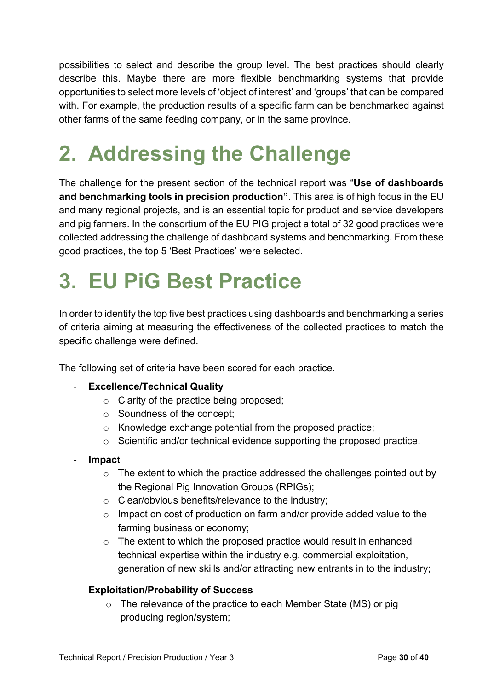possibilities to select and describe the group level. The best practices should clearly describe this. Maybe there are more flexible benchmarking systems that provide opportunities to select more levels of 'object of interest' and 'groups' that can be compared with. For example, the production results of a specific farm can be benchmarked against other farms of the same feeding company, or in the same province.

## **2. Addressing the Challenge**

The challenge for the present section of the technical report was "**Use of dashboards and benchmarking tools in precision production"**. This area is of high focus in the EU and many regional projects, and is an essential topic for product and service developers and pig farmers. In the consortium of the EU PIG project a total of 32 good practices were collected addressing the challenge of dashboard systems and benchmarking. From these good practices, the top 5 'Best Practices' were selected.

### **3. EU PiG Best Practice**

In order to identify the top five best practices using dashboards and benchmarking a series of criteria aiming at measuring the effectiveness of the collected practices to match the specific challenge were defined.

The following set of criteria have been scored for each practice.

#### **Excellence/Technical Quality**

- o Clarity of the practice being proposed;
- o Soundness of the concept;
- o Knowledge exchange potential from the proposed practice;
- o Scientific and/or technical evidence supporting the proposed practice.
- **Impact** 
	- $\circ$  The extent to which the practice addressed the challenges pointed out by the Regional Pig Innovation Groups (RPIGs);
	- o Clear/obvious benefits/relevance to the industry;
	- o Impact on cost of production on farm and/or provide added value to the farming business or economy;
	- o The extent to which the proposed practice would result in enhanced technical expertise within the industry e.g. commercial exploitation, generation of new skills and/or attracting new entrants in to the industry;

#### - **Exploitation/Probability of Success**

 $\circ$  The relevance of the practice to each Member State (MS) or pig producing region/system;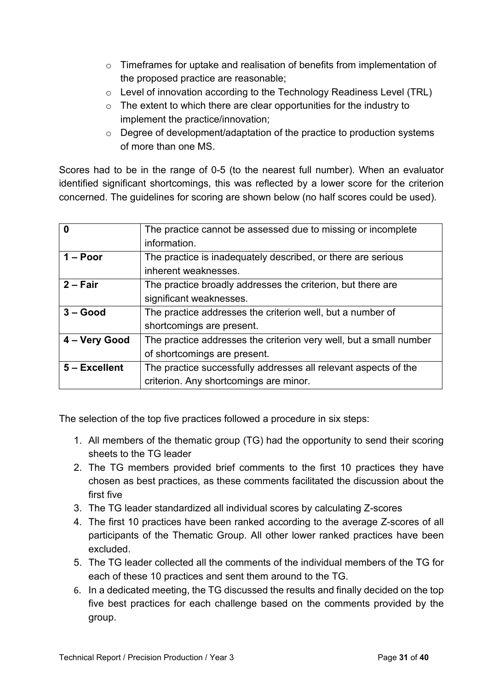- o Timeframes for uptake and realisation of benefits from implementation of the proposed practice are reasonable;
- o Level of innovation according to the Technology Readiness Level (TRL)
- o The extent to which there are clear opportunities for the industry to implement the practice/innovation;
- o Degree of development/adaptation of the practice to production systems of more than one MS.

Scores had to be in the range of 0-5 (to the nearest full number). When an evaluator identified significant shortcomings, this was reflected by a lower score for the criterion concerned. The guidelines for scoring are shown below (no half scores could be used).

|               | The practice cannot be assessed due to missing or incomplete       |
|---------------|--------------------------------------------------------------------|
|               | information.                                                       |
| $1 - Poor$    | The practice is inadequately described, or there are serious       |
|               | inherent weaknesses.                                               |
| $2 - Fair$    | The practice broadly addresses the criterion, but there are        |
|               | significant weaknesses.                                            |
| $3 - Good$    | The practice addresses the criterion well, but a number of         |
|               | shortcomings are present.                                          |
| 4 - Very Good | The practice addresses the criterion very well, but a small number |
|               | of shortcomings are present.                                       |
| 5 - Excellent | The practice successfully addresses all relevant aspects of the    |
|               | criterion. Any shortcomings are minor.                             |

The selection of the top five practices followed a procedure in six steps:

- 1. All members of the thematic group (TG) had the opportunity to send their scoring sheets to the TG leader
- 2. The TG members provided brief comments to the first 10 practices they have chosen as best practices, as these comments facilitated the discussion about the first five
- 3. The TG leader standardized all individual scores by calculating Z-scores
- 4. The first 10 practices have been ranked according to the average Z-scores of all participants of the Thematic Group. All other lower ranked practices have been excluded.
- 5. The TG leader collected all the comments of the individual members of the TG for each of these 10 practices and sent them around to the TG.
- 6. In a dedicated meeting, the TG discussed the results and finally decided on the top five best practices for each challenge based on the comments provided by the group.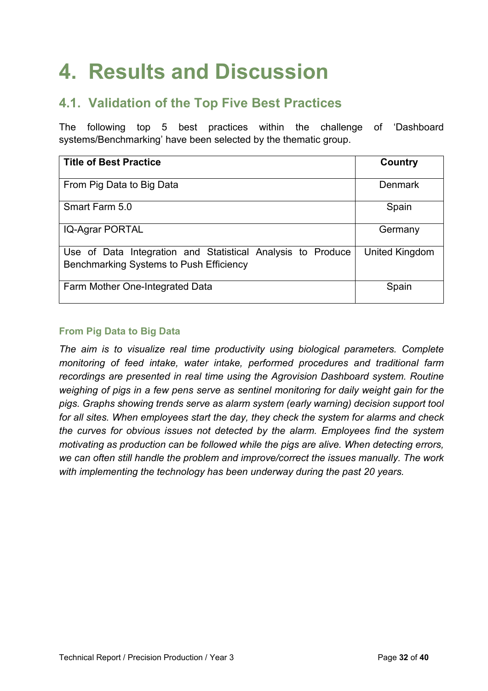## **4. Results and Discussion**

### **4.1. Validation of the Top Five Best Practices**

The following top 5 best practices within the challenge of 'Dashboard systems/Benchmarking' have been selected by the thematic group.

| <b>Title of Best Practice</b>                                                                          | Country        |
|--------------------------------------------------------------------------------------------------------|----------------|
| From Pig Data to Big Data                                                                              | Denmark        |
| Smart Farm 5.0                                                                                         | Spain          |
| <b>IQ-Agrar PORTAL</b>                                                                                 | Germany        |
| Use of Data Integration and Statistical Analysis to Produce<br>Benchmarking Systems to Push Efficiency | United Kingdom |
| Farm Mother One-Integrated Data                                                                        | Spain          |

#### **From Pig Data to Big Data**

*The aim is to visualize real time productivity using biological parameters. Complete monitoring of feed intake, water intake, performed procedures and traditional farm recordings are presented in real time using the Agrovision Dashboard system. Routine weighing of pigs in a few pens serve as sentinel monitoring for daily weight gain for the pigs. Graphs showing trends serve as alarm system (early warning) decision support tool for all sites. When employees start the day, they check the system for alarms and check the curves for obvious issues not detected by the alarm. Employees find the system motivating as production can be followed while the pigs are alive. When detecting errors, we can often still handle the problem and improve/correct the issues manually. The work with implementing the technology has been underway during the past 20 years.*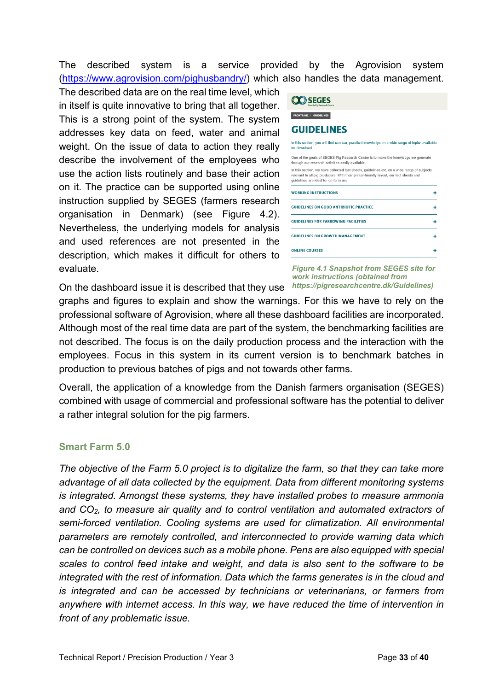The described system is a service provided by the Agrovision system [\(https://www.agrovision.com/pighusbandry/\)](https://www.agrovision.com/pighusbandry/) which also handles the data management.

The described data are on the real time level, which in itself is quite innovative to bring that all together. This is a strong point of the system. The system addresses key data on feed, water and animal weight. On the issue of data to action they really describe the involvement of the employees who use the action lists routinely and base their action on it. The practice can be supported using online instruction supplied by SEGES (farmers research organisation in Denmark) (see Figure 4.2). Nevertheless, the underlying models for analysis and used references are not presented in the description, which makes it difficult for others to evaluate.

| <b>FRONTPAGE / GUIDELINES</b>                                                                                                                                                                                                  |  |
|--------------------------------------------------------------------------------------------------------------------------------------------------------------------------------------------------------------------------------|--|
| <b>GUIDELINES</b>                                                                                                                                                                                                              |  |
| In this section, you will find concise, practical knowledge on a wide range of topics available<br>for download                                                                                                                |  |
| One of the goals of SEGES Pig Research Centre is to make the knowledge we generate<br>through our research activities easily available.                                                                                        |  |
| In this section, we have collected fact sheets, quidelines etc. on a wide range of subjects<br>relevant to all pig producers. With their printer-friendly layout, our fact sheets and<br>quidelines are ideal for on-farm use. |  |
| <b>WORKING INSTRUCTIONS</b>                                                                                                                                                                                                    |  |
| <b>GUIDELINES ON GOOD ANTIBIOTIC PRACTICE</b>                                                                                                                                                                                  |  |
| <b>GUIDELINES FOR FARROWING FACILITIES</b>                                                                                                                                                                                     |  |
| <b>GUIDELINES ON GROWTH MANAGEMENT</b>                                                                                                                                                                                         |  |
|                                                                                                                                                                                                                                |  |

*Figure 4.1 Snapshot from SEGES site for work instructions (obtained from [https://pigresearchcentre.dk/Guidelines\)](https://pigresearchcentre.dk/Guidelines)*

On the dashboard issue it is described that they use graphs and figures to explain and show the warnings. For this we have to rely on the professional software of Agrovision, where all these dashboard facilities are incorporated. Although most of the real time data are part of the system, the benchmarking facilities are not described. The focus is on the daily production process and the interaction with the employees. Focus in this system in its current version is to benchmark batches in production to previous batches of pigs and not towards other farms.

Overall, the application of a knowledge from the Danish farmers organisation (SEGES) combined with usage of commercial and professional software has the potential to deliver a rather integral solution for the pig farmers.

#### **Smart Farm 5.0**

*The objective of the Farm 5.0 project is to digitalize the farm, so that they can take more advantage of all data collected by the equipment. Data from different monitoring systems is integrated. Amongst these systems, they have installed probes to measure ammonia and CO2, to measure air quality and to control ventilation and automated extractors of semi-forced ventilation. Cooling systems are used for climatization. All environmental parameters are remotely controlled, and interconnected to provide warning data which can be controlled on devices such as a mobile phone. Pens are also equipped with special scales to control feed intake and weight, and data is also sent to the software to be integrated with the rest of information. Data which the farms generates is in the cloud and is integrated and can be accessed by technicians or veterinarians, or farmers from anywhere with internet access. In this way, we have reduced the time of intervention in front of any problematic issue.*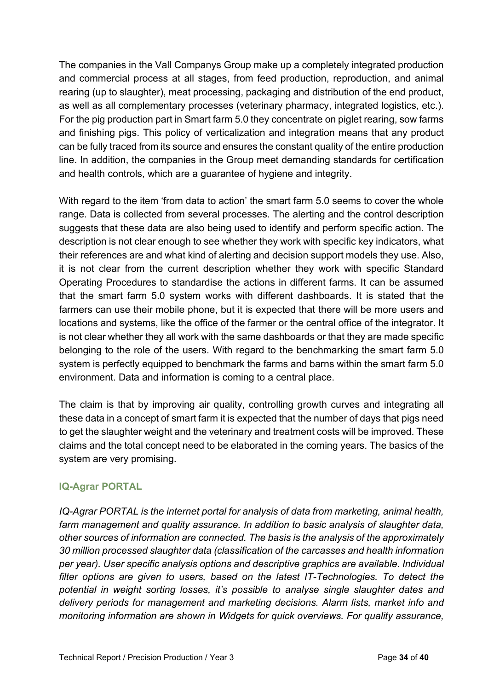The companies in the Vall Companys Group make up a completely integrated production and commercial process at all stages, from feed production, reproduction, and animal rearing (up to slaughter), meat processing, packaging and distribution of the end product, as well as all complementary processes (veterinary pharmacy, integrated logistics, etc.). For the pig production part in Smart farm 5.0 they concentrate on piglet rearing, sow farms and finishing pigs. This policy of verticalization and integration means that any product can be fully traced from its source and ensures the constant quality of the entire production line. In addition, the companies in the Group meet demanding standards for certification and health controls, which are a guarantee of hygiene and integrity.

With regard to the item 'from data to action' the smart farm 5.0 seems to cover the whole range. Data is collected from several processes. The alerting and the control description suggests that these data are also being used to identify and perform specific action. The description is not clear enough to see whether they work with specific key indicators, what their references are and what kind of alerting and decision support models they use. Also, it is not clear from the current description whether they work with specific Standard Operating Procedures to standardise the actions in different farms. It can be assumed that the smart farm 5.0 system works with different dashboards. It is stated that the farmers can use their mobile phone, but it is expected that there will be more users and locations and systems, like the office of the farmer or the central office of the integrator. It is not clear whether they all work with the same dashboards or that they are made specific belonging to the role of the users. With regard to the benchmarking the smart farm 5.0 system is perfectly equipped to benchmark the farms and barns within the smart farm 5.0 environment. Data and information is coming to a central place.

The claim is that by improving air quality, controlling growth curves and integrating all these data in a concept of smart farm it is expected that the number of days that pigs need to get the slaughter weight and the veterinary and treatment costs will be improved. These claims and the total concept need to be elaborated in the coming years. The basics of the system are very promising.

#### **IQ-Agrar PORTAL**

*IQ-Agrar PORTAL is the internet portal for analysis of data from marketing, animal health, farm management and quality assurance. In addition to basic analysis of slaughter data, other sources of information are connected. The basis is the analysis of the approximately 30 million processed slaughter data (classification of the carcasses and health information per year). User specific analysis options and descriptive graphics are available. Individual filter options are given to users, based on the latest IT-Technologies. To detect the potential in weight sorting losses, it's possible to analyse single slaughter dates and delivery periods for management and marketing decisions. Alarm lists, market info and monitoring information are shown in Widgets for quick overviews. For quality assurance,*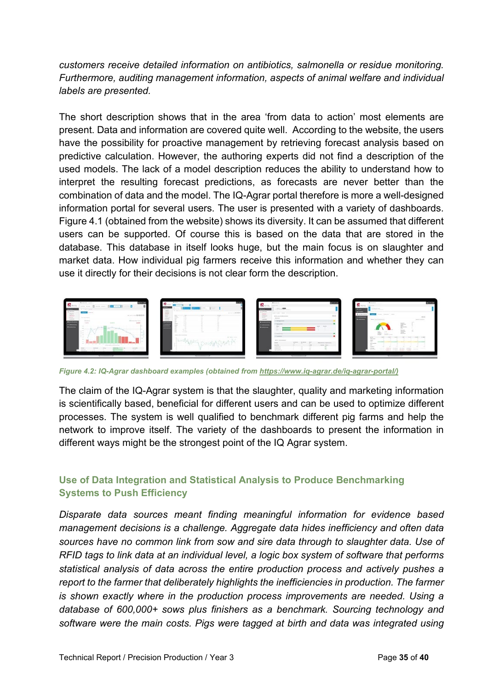*customers receive detailed information on antibiotics, salmonella or residue monitoring. Furthermore, auditing management information, aspects of animal welfare and individual labels are presented.*

The short description shows that in the area 'from data to action' most elements are present. Data and information are covered quite well. According to the website, the users have the possibility for proactive management by retrieving forecast analysis based on predictive calculation. However, the authoring experts did not find a description of the used models. The lack of a model description reduces the ability to understand how to interpret the resulting forecast predictions, as forecasts are never better than the combination of data and the model. The IQ-Agrar portal therefore is more a well-designed information portal for several users. The user is presented with a variety of dashboards. Figure 4.1 (obtained from the website) shows its diversity. It can be assumed that different users can be supported. Of course this is based on the data that are stored in the database. This database in itself looks huge, but the main focus is on slaughter and market data. How individual pig farmers receive this information and whether they can use it directly for their decisions is not clear form the description.



*Figure 4.2: IQ-Agrar dashboard examples (obtained fro[m https://www.iq-agrar.de/iq-agrar-portal/\)](https://www.iq-agrar.de/iq-agrar-portal/)*

The claim of the IQ-Agrar system is that the slaughter, quality and marketing information is scientifically based, beneficial for different users and can be used to optimize different processes. The system is well qualified to benchmark different pig farms and help the network to improve itself. The variety of the dashboards to present the information in different ways might be the strongest point of the IQ Agrar system.

#### **Use of Data Integration and Statistical Analysis to Produce Benchmarking Systems to Push Efficiency**

*Disparate data sources meant finding meaningful information for evidence based management decisions is a challenge. Aggregate data hides inefficiency and often data sources have no common link from sow and sire data through to slaughter data. Use of RFID tags to link data at an individual level, a logic box system of software that performs statistical analysis of data across the entire production process and actively pushes a report to the farmer that deliberately highlights the inefficiencies in production. The farmer is shown exactly where in the production process improvements are needed. Using a database of 600,000+ sows plus finishers as a benchmark. Sourcing technology and software were the main costs. Pigs were tagged at birth and data was integrated using*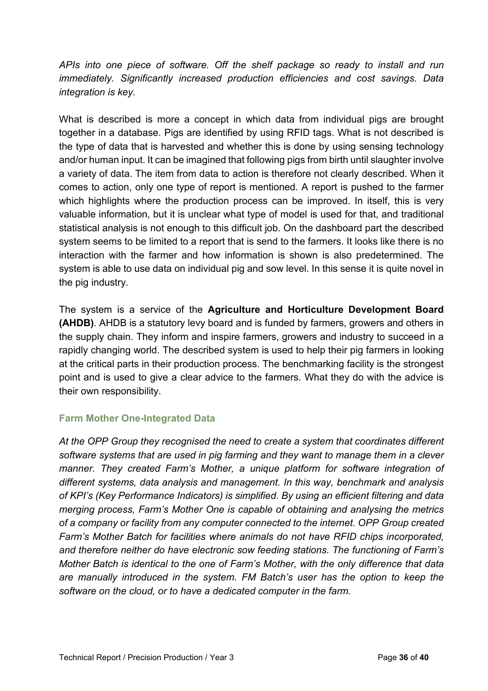*APIs into one piece of software. Off the shelf package so ready to install and run immediately. Significantly increased production efficiencies and cost savings. Data integration is key.*

What is described is more a concept in which data from individual pigs are brought together in a database. Pigs are identified by using RFID tags. What is not described is the type of data that is harvested and whether this is done by using sensing technology and/or human input. It can be imagined that following pigs from birth until slaughter involve a variety of data. The item from data to action is therefore not clearly described. When it comes to action, only one type of report is mentioned. A report is pushed to the farmer which highlights where the production process can be improved. In itself, this is very valuable information, but it is unclear what type of model is used for that, and traditional statistical analysis is not enough to this difficult job. On the dashboard part the described system seems to be limited to a report that is send to the farmers. It looks like there is no interaction with the farmer and how information is shown is also predetermined. The system is able to use data on individual pig and sow level. In this sense it is quite novel in the pig industry.

The system is a service of the **Agriculture and Horticulture Development Board (AHDB)**. AHDB is a statutory levy board and is funded by farmers, growers and others in the supply chain. They inform and inspire farmers, growers and industry to succeed in a rapidly changing world. The described system is used to help their pig farmers in looking at the critical parts in their production process. The benchmarking facility is the strongest point and is used to give a clear advice to the farmers. What they do with the advice is their own responsibility.

#### **Farm Mother One-Integrated Data**

*At the OPP Group they recognised the need to create a system that coordinates different software systems that are used in pig farming and they want to manage them in a clever manner. They created Farm's Mother, a unique platform for software integration of different systems, data analysis and management. In this way, benchmark and analysis of KPI's (Key Performance Indicators) is simplified. By using an efficient filtering and data merging process, Farm's Mother One is capable of obtaining and analysing the metrics of a company or facility from any computer connected to the internet. OPP Group created Farm's Mother Batch for facilities where animals do not have RFID chips incorporated, and therefore neither do have electronic sow feeding stations. The functioning of Farm's Mother Batch is identical to the one of Farm's Mother, with the only difference that data are manually introduced in the system. FM Batch's user has the option to keep the software on the cloud, or to have a dedicated computer in the farm.*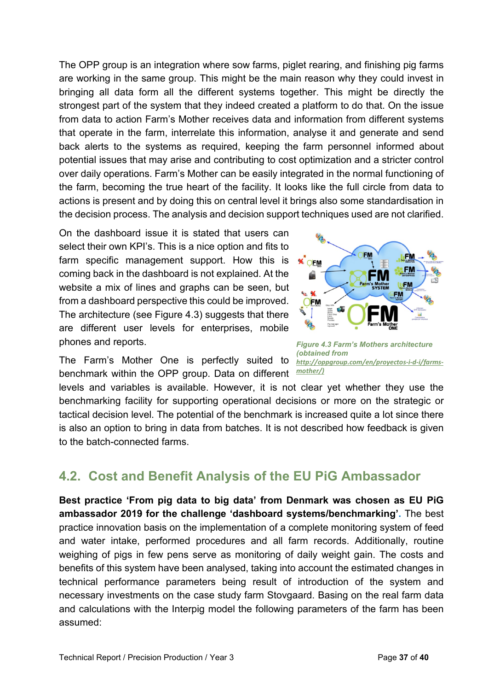The OPP group is an integration where sow farms, piglet rearing, and finishing pig farms are working in the same group. This might be the main reason why they could invest in bringing all data form all the different systems together. This might be directly the strongest part of the system that they indeed created a platform to do that. On the issue from data to action Farm's Mother receives data and information from different systems that operate in the farm, interrelate this information, analyse it and generate and send back alerts to the systems as required, keeping the farm personnel informed about potential issues that may arise and contributing to cost optimization and a stricter control over daily operations. Farm's Mother can be easily integrated in the normal functioning of the farm, becoming the true heart of the facility. It looks like the full circle from data to actions is present and by doing this on central level it brings also some standardisation in the decision process. The analysis and decision support techniques used are not clarified.

On the dashboard issue it is stated that users can select their own KPI's. This is a nice option and fits to farm specific management support. How this is coming back in the dashboard is not explained. At the website a mix of lines and graphs can be seen, but from a dashboard perspective this could be improved. The architecture (see Figure 4.3) suggests that there are different user levels for enterprises, mobile phones and reports.



The Farm's Mother One is perfectly suited to *[http://oppgroup.com/en/proyectos-i-d-i/farms](http://oppgroup.com/en/proyectos-i-d-i/farms-mother/)*benchmark within the OPP group. Data on different *[mother/\)](http://oppgroup.com/en/proyectos-i-d-i/farms-mother/)*

*Figure 4.3 Farm's Mothers architecture (obtained from* 

levels and variables is available. However, it is not clear yet whether they use the benchmarking facility for supporting operational decisions or more on the strategic or tactical decision level. The potential of the benchmark is increased quite a lot since there is also an option to bring in data from batches. It is not described how feedback is given to the batch-connected farms.

### **4.2. Cost and Benefit Analysis of the EU PiG Ambassador**

**Best practice 'From pig data to big data' from Denmark was chosen as EU PiG ambassador 2019 for the challenge 'dashboard systems/benchmarking'.** The best practice innovation basis on the implementation of a complete monitoring system of feed and water intake, performed procedures and all farm records. Additionally, routine weighing of pigs in few pens serve as monitoring of daily weight gain. The costs and benefits of this system have been analysed, taking into account the estimated changes in technical performance parameters being result of introduction of the system and necessary investments on the case study farm Stovgaard. Basing on the real farm data and calculations with the Interpig model the following parameters of the farm has been assumed: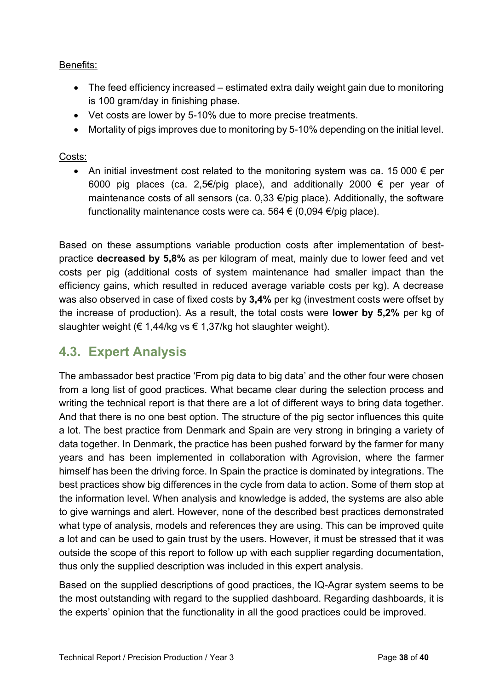#### Benefits:

- The feed efficiency increased estimated extra daily weight gain due to monitoring is 100 gram/day in finishing phase.
- Vet costs are lower by 5-10% due to more precise treatments.
- Mortality of pigs improves due to monitoring by 5-10% depending on the initial level.

#### Costs:

• An initial investment cost related to the monitoring system was ca. 15 000  $\epsilon$  per 6000 pig places (ca. 2,5€/pig place), and additionally 2000  $\epsilon$  per year of maintenance costs of all sensors (ca. 0,33  $\epsilon$ /pig place). Additionally, the software functionality maintenance costs were ca. 564 € (0,094 €/pig place).

Based on these assumptions variable production costs after implementation of bestpractice **decreased by 5,8%** as per kilogram of meat, mainly due to lower feed and vet costs per pig (additional costs of system maintenance had smaller impact than the efficiency gains, which resulted in reduced average variable costs per kg). A decrease was also observed in case of fixed costs by **3,4%** per kg (investment costs were offset by the increase of production). As a result, the total costs were **lower by 5,2%** per kg of slaughter weight ( $\epsilon$  1,44/kg vs  $\epsilon$  1,37/kg hot slaughter weight).

### **4.3. Expert Analysis**

The ambassador best practice 'From pig data to big data' and the other four were chosen from a long list of good practices. What became clear during the selection process and writing the technical report is that there are a lot of different ways to bring data together. And that there is no one best option. The structure of the pig sector influences this quite a lot. The best practice from Denmark and Spain are very strong in bringing a variety of data together. In Denmark, the practice has been pushed forward by the farmer for many years and has been implemented in collaboration with Agrovision, where the farmer himself has been the driving force. In Spain the practice is dominated by integrations. The best practices show big differences in the cycle from data to action. Some of them stop at the information level. When analysis and knowledge is added, the systems are also able to give warnings and alert. However, none of the described best practices demonstrated what type of analysis, models and references they are using. This can be improved quite a lot and can be used to gain trust by the users. However, it must be stressed that it was outside the scope of this report to follow up with each supplier regarding documentation, thus only the supplied description was included in this expert analysis.

Based on the supplied descriptions of good practices, the IQ-Agrar system seems to be the most outstanding with regard to the supplied dashboard. Regarding dashboards, it is the experts' opinion that the functionality in all the good practices could be improved.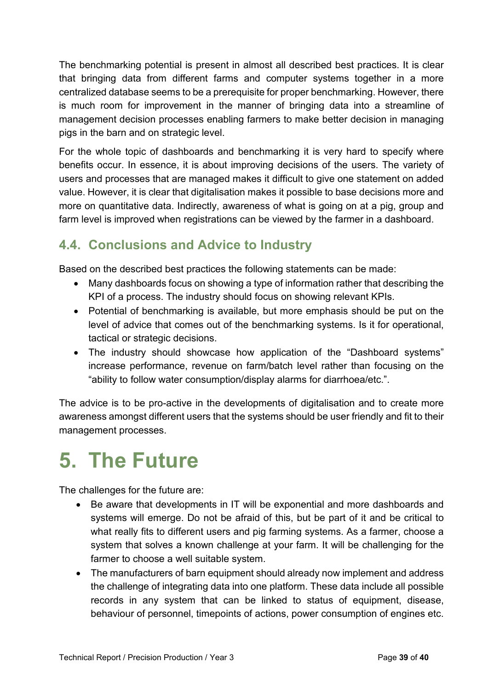The benchmarking potential is present in almost all described best practices. It is clear that bringing data from different farms and computer systems together in a more centralized database seems to be a prerequisite for proper benchmarking. However, there is much room for improvement in the manner of bringing data into a streamline of management decision processes enabling farmers to make better decision in managing pigs in the barn and on strategic level.

For the whole topic of dashboards and benchmarking it is very hard to specify where benefits occur. In essence, it is about improving decisions of the users. The variety of users and processes that are managed makes it difficult to give one statement on added value. However, it is clear that digitalisation makes it possible to base decisions more and more on quantitative data. Indirectly, awareness of what is going on at a pig, group and farm level is improved when registrations can be viewed by the farmer in a dashboard.

### **4.4. Conclusions and Advice to Industry**

Based on the described best practices the following statements can be made:

- Many dashboards focus on showing a type of information rather that describing the KPI of a process. The industry should focus on showing relevant KPIs.
- Potential of benchmarking is available, but more emphasis should be put on the level of advice that comes out of the benchmarking systems. Is it for operational, tactical or strategic decisions.
- The industry should showcase how application of the "Dashboard systems" increase performance, revenue on farm/batch level rather than focusing on the "ability to follow water consumption/display alarms for diarrhoea/etc.".

The advice is to be pro-active in the developments of digitalisation and to create more awareness amongst different users that the systems should be user friendly and fit to their management processes.

## **5. The Future**

The challenges for the future are:

- Be aware that developments in IT will be exponential and more dashboards and systems will emerge. Do not be afraid of this, but be part of it and be critical to what really fits to different users and pig farming systems. As a farmer, choose a system that solves a known challenge at your farm. It will be challenging for the farmer to choose a well suitable system.
- The manufacturers of barn equipment should already now implement and address the challenge of integrating data into one platform. These data include all possible records in any system that can be linked to status of equipment, disease, behaviour of personnel, timepoints of actions, power consumption of engines etc.